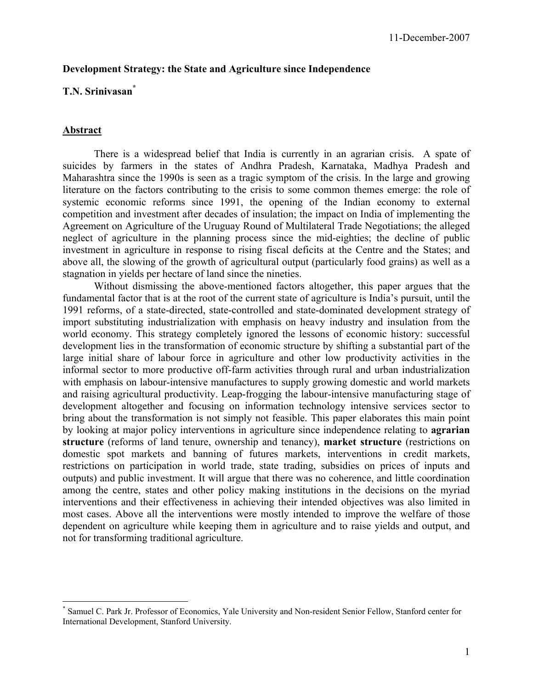## **Development Strategy: the State and Agriculture since Independence**

## **T.N. Srinivasan\***

#### **Abstract**

1

 There is a widespread belief that India is currently in an agrarian crisis. A spate of suicides by farmers in the states of Andhra Pradesh, Karnataka, Madhya Pradesh and Maharashtra since the 1990s is seen as a tragic symptom of the crisis. In the large and growing literature on the factors contributing to the crisis to some common themes emerge: the role of systemic economic reforms since 1991, the opening of the Indian economy to external competition and investment after decades of insulation; the impact on India of implementing the Agreement on Agriculture of the Uruguay Round of Multilateral Trade Negotiations; the alleged neglect of agriculture in the planning process since the mid-eighties; the decline of public investment in agriculture in response to rising fiscal deficits at the Centre and the States; and above all, the slowing of the growth of agricultural output (particularly food grains) as well as a stagnation in yields per hectare of land since the nineties.

 Without dismissing the above-mentioned factors altogether, this paper argues that the fundamental factor that is at the root of the current state of agriculture is India's pursuit, until the 1991 reforms, of a state-directed, state-controlled and state-dominated development strategy of import substituting industrialization with emphasis on heavy industry and insulation from the world economy. This strategy completely ignored the lessons of economic history: successful development lies in the transformation of economic structure by shifting a substantial part of the large initial share of labour force in agriculture and other low productivity activities in the informal sector to more productive off-farm activities through rural and urban industrialization with emphasis on labour-intensive manufactures to supply growing domestic and world markets and raising agricultural productivity. Leap-frogging the labour-intensive manufacturing stage of development altogether and focusing on information technology intensive services sector to bring about the transformation is not simply not feasible. This paper elaborates this main point by looking at major policy interventions in agriculture since independence relating to **agrarian structure** (reforms of land tenure, ownership and tenancy), **market structure** (restrictions on domestic spot markets and banning of futures markets, interventions in credit markets, restrictions on participation in world trade, state trading, subsidies on prices of inputs and outputs) and public investment. It will argue that there was no coherence, and little coordination among the centre, states and other policy making institutions in the decisions on the myriad interventions and their effectiveness in achieving their intended objectives was also limited in most cases. Above all the interventions were mostly intended to improve the welfare of those dependent on agriculture while keeping them in agriculture and to raise yields and output, and not for transforming traditional agriculture.

<sup>\*</sup> Samuel C. Park Jr. Professor of Economics, Yale University and Non-resident Senior Fellow, Stanford center for International Development, Stanford University.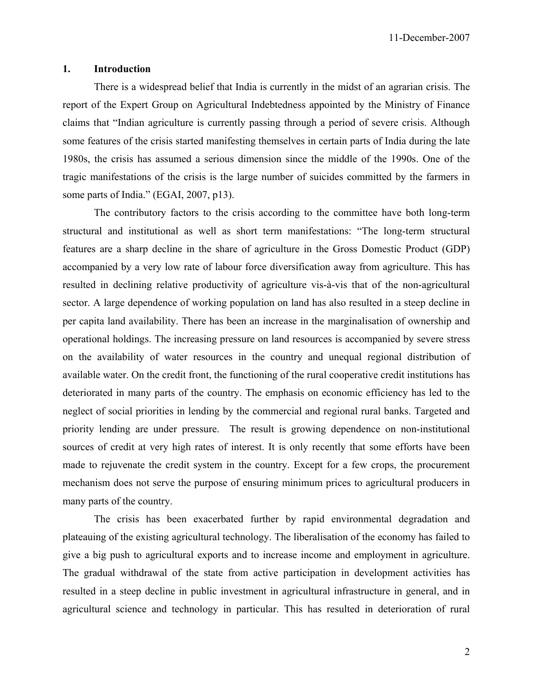11-December-2007

## **1. Introduction**

 There is a widespread belief that India is currently in the midst of an agrarian crisis. The report of the Expert Group on Agricultural Indebtedness appointed by the Ministry of Finance claims that "Indian agriculture is currently passing through a period of severe crisis. Although some features of the crisis started manifesting themselves in certain parts of India during the late 1980s, the crisis has assumed a serious dimension since the middle of the 1990s. One of the tragic manifestations of the crisis is the large number of suicides committed by the farmers in some parts of India." (EGAI, 2007, p13).

 The contributory factors to the crisis according to the committee have both long-term structural and institutional as well as short term manifestations: "The long-term structural features are a sharp decline in the share of agriculture in the Gross Domestic Product (GDP) accompanied by a very low rate of labour force diversification away from agriculture. This has resulted in declining relative productivity of agriculture vis-à-vis that of the non-agricultural sector. A large dependence of working population on land has also resulted in a steep decline in per capita land availability. There has been an increase in the marginalisation of ownership and operational holdings. The increasing pressure on land resources is accompanied by severe stress on the availability of water resources in the country and unequal regional distribution of available water. On the credit front, the functioning of the rural cooperative credit institutions has deteriorated in many parts of the country. The emphasis on economic efficiency has led to the neglect of social priorities in lending by the commercial and regional rural banks. Targeted and priority lending are under pressure. The result is growing dependence on non-institutional sources of credit at very high rates of interest. It is only recently that some efforts have been made to rejuvenate the credit system in the country. Except for a few crops, the procurement mechanism does not serve the purpose of ensuring minimum prices to agricultural producers in many parts of the country.

 The crisis has been exacerbated further by rapid environmental degradation and plateauing of the existing agricultural technology. The liberalisation of the economy has failed to give a big push to agricultural exports and to increase income and employment in agriculture. The gradual withdrawal of the state from active participation in development activities has resulted in a steep decline in public investment in agricultural infrastructure in general, and in agricultural science and technology in particular. This has resulted in deterioration of rural

2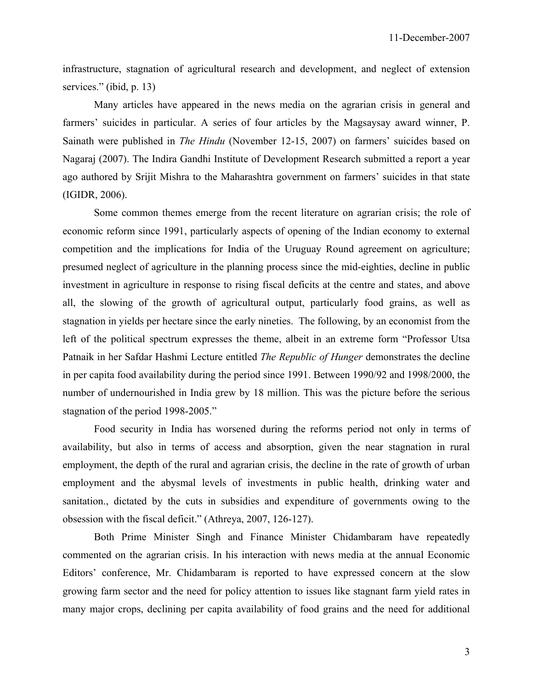infrastructure, stagnation of agricultural research and development, and neglect of extension services." (ibid, p. 13)

 Many articles have appeared in the news media on the agrarian crisis in general and farmers' suicides in particular. A series of four articles by the Magsaysay award winner, P. Sainath were published in *The Hindu* (November 12-15, 2007) on farmers' suicides based on Nagaraj (2007). The Indira Gandhi Institute of Development Research submitted a report a year ago authored by Srijit Mishra to the Maharashtra government on farmers' suicides in that state (IGIDR, 2006).

 Some common themes emerge from the recent literature on agrarian crisis; the role of economic reform since 1991, particularly aspects of opening of the Indian economy to external competition and the implications for India of the Uruguay Round agreement on agriculture; presumed neglect of agriculture in the planning process since the mid-eighties, decline in public investment in agriculture in response to rising fiscal deficits at the centre and states, and above all, the slowing of the growth of agricultural output, particularly food grains, as well as stagnation in yields per hectare since the early nineties. The following, by an economist from the left of the political spectrum expresses the theme, albeit in an extreme form "Professor Utsa Patnaik in her Safdar Hashmi Lecture entitled *The Republic of Hunger* demonstrates the decline in per capita food availability during the period since 1991. Between 1990/92 and 1998/2000, the number of undernourished in India grew by 18 million. This was the picture before the serious stagnation of the period 1998-2005."

 Food security in India has worsened during the reforms period not only in terms of availability, but also in terms of access and absorption, given the near stagnation in rural employment, the depth of the rural and agrarian crisis, the decline in the rate of growth of urban employment and the abysmal levels of investments in public health, drinking water and sanitation., dictated by the cuts in subsidies and expenditure of governments owing to the obsession with the fiscal deficit." (Athreya, 2007, 126-127).

 Both Prime Minister Singh and Finance Minister Chidambaram have repeatedly commented on the agrarian crisis. In his interaction with news media at the annual Economic Editors' conference, Mr. Chidambaram is reported to have expressed concern at the slow growing farm sector and the need for policy attention to issues like stagnant farm yield rates in many major crops, declining per capita availability of food grains and the need for additional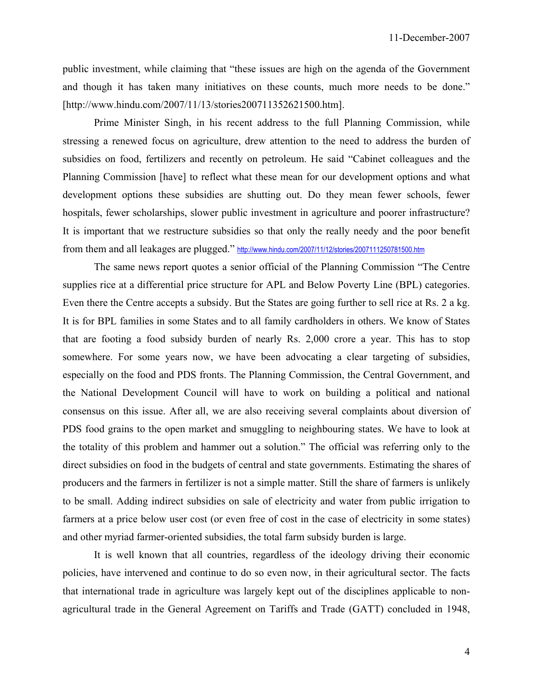public investment, while claiming that "these issues are high on the agenda of the Government and though it has taken many initiatives on these counts, much more needs to be done." [http://www.hindu.com/2007/11/13/stories200711352621500.htm].

 Prime Minister Singh, in his recent address to the full Planning Commission, while stressing a renewed focus on agriculture, drew attention to the need to address the burden of subsidies on food, fertilizers and recently on petroleum. He said "Cabinet colleagues and the Planning Commission [have] to reflect what these mean for our development options and what development options these subsidies are shutting out. Do they mean fewer schools, fewer hospitals, fewer scholarships, slower public investment in agriculture and poorer infrastructure? It is important that we restructure subsidies so that only the really needy and the poor benefit from them and all leakages are plugged." http://www.hindu.com/2007/11/12/stories/2007111250781500.htm

 The same news report quotes a senior official of the Planning Commission "The Centre supplies rice at a differential price structure for APL and Below Poverty Line (BPL) categories. Even there the Centre accepts a subsidy. But the States are going further to sell rice at Rs. 2 a kg. It is for BPL families in some States and to all family cardholders in others. We know of States that are footing a food subsidy burden of nearly Rs. 2,000 crore a year. This has to stop somewhere. For some years now, we have been advocating a clear targeting of subsidies, especially on the food and PDS fronts. The Planning Commission, the Central Government, and the National Development Council will have to work on building a political and national consensus on this issue. After all, we are also receiving several complaints about diversion of PDS food grains to the open market and smuggling to neighbouring states. We have to look at the totality of this problem and hammer out a solution." The official was referring only to the direct subsidies on food in the budgets of central and state governments. Estimating the shares of producers and the farmers in fertilizer is not a simple matter. Still the share of farmers is unlikely to be small. Adding indirect subsidies on sale of electricity and water from public irrigation to farmers at a price below user cost (or even free of cost in the case of electricity in some states) and other myriad farmer-oriented subsidies, the total farm subsidy burden is large.

 It is well known that all countries, regardless of the ideology driving their economic policies, have intervened and continue to do so even now, in their agricultural sector. The facts that international trade in agriculture was largely kept out of the disciplines applicable to nonagricultural trade in the General Agreement on Tariffs and Trade (GATT) concluded in 1948,

4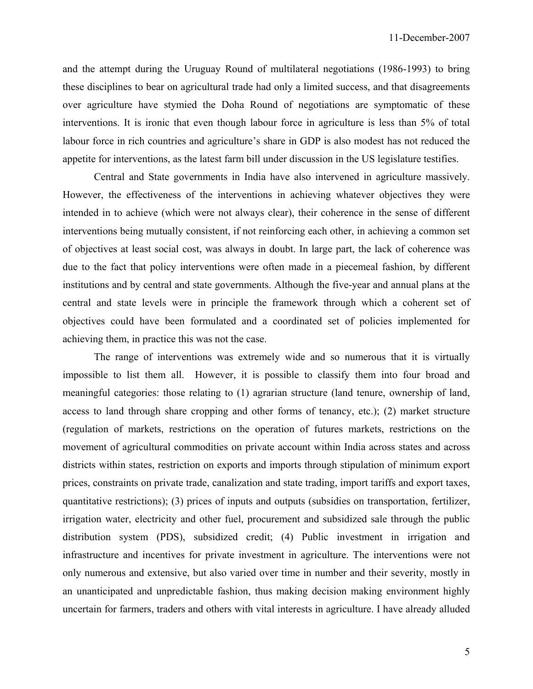and the attempt during the Uruguay Round of multilateral negotiations (1986-1993) to bring these disciplines to bear on agricultural trade had only a limited success, and that disagreements over agriculture have stymied the Doha Round of negotiations are symptomatic of these interventions. It is ironic that even though labour force in agriculture is less than 5% of total labour force in rich countries and agriculture's share in GDP is also modest has not reduced the appetite for interventions, as the latest farm bill under discussion in the US legislature testifies.

 Central and State governments in India have also intervened in agriculture massively. However, the effectiveness of the interventions in achieving whatever objectives they were intended in to achieve (which were not always clear), their coherence in the sense of different interventions being mutually consistent, if not reinforcing each other, in achieving a common set of objectives at least social cost, was always in doubt. In large part, the lack of coherence was due to the fact that policy interventions were often made in a piecemeal fashion, by different institutions and by central and state governments. Although the five-year and annual plans at the central and state levels were in principle the framework through which a coherent set of objectives could have been formulated and a coordinated set of policies implemented for achieving them, in practice this was not the case.

 The range of interventions was extremely wide and so numerous that it is virtually impossible to list them all. However, it is possible to classify them into four broad and meaningful categories: those relating to (1) agrarian structure (land tenure, ownership of land, access to land through share cropping and other forms of tenancy, etc.); (2) market structure (regulation of markets, restrictions on the operation of futures markets, restrictions on the movement of agricultural commodities on private account within India across states and across districts within states, restriction on exports and imports through stipulation of minimum export prices, constraints on private trade, canalization and state trading, import tariffs and export taxes, quantitative restrictions); (3) prices of inputs and outputs (subsidies on transportation, fertilizer, irrigation water, electricity and other fuel, procurement and subsidized sale through the public distribution system (PDS), subsidized credit; (4) Public investment in irrigation and infrastructure and incentives for private investment in agriculture. The interventions were not only numerous and extensive, but also varied over time in number and their severity, mostly in an unanticipated and unpredictable fashion, thus making decision making environment highly uncertain for farmers, traders and others with vital interests in agriculture. I have already alluded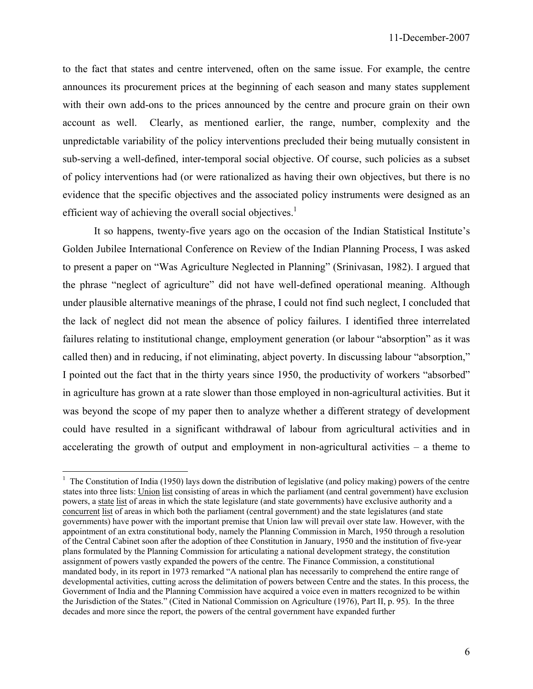to the fact that states and centre intervened, often on the same issue. For example, the centre announces its procurement prices at the beginning of each season and many states supplement with their own add-ons to the prices announced by the centre and procure grain on their own account as well. Clearly, as mentioned earlier, the range, number, complexity and the unpredictable variability of the policy interventions precluded their being mutually consistent in sub-serving a well-defined, inter-temporal social objective. Of course, such policies as a subset of policy interventions had (or were rationalized as having their own objectives, but there is no evidence that the specific objectives and the associated policy instruments were designed as an efficient way of achieving the overall social objectives.<sup>1</sup>

 It so happens, twenty-five years ago on the occasion of the Indian Statistical Institute's Golden Jubilee International Conference on Review of the Indian Planning Process, I was asked to present a paper on "Was Agriculture Neglected in Planning" (Srinivasan, 1982). I argued that the phrase "neglect of agriculture" did not have well-defined operational meaning. Although under plausible alternative meanings of the phrase, I could not find such neglect, I concluded that the lack of neglect did not mean the absence of policy failures. I identified three interrelated failures relating to institutional change, employment generation (or labour "absorption" as it was called then) and in reducing, if not eliminating, abject poverty. In discussing labour "absorption," I pointed out the fact that in the thirty years since 1950, the productivity of workers "absorbed" in agriculture has grown at a rate slower than those employed in non-agricultural activities. But it was beyond the scope of my paper then to analyze whether a different strategy of development could have resulted in a significant withdrawal of labour from agricultural activities and in accelerating the growth of output and employment in non-agricultural activities – a theme to

 $\overline{a}$ 

 $<sup>1</sup>$  The Constitution of India (1950) lays down the distribution of legislative (and policy making) powers of the centre</sup> states into three lists: Union list consisting of areas in which the parliament (and central government) have exclusion powers, a state list of areas in which the state legislature (and state governments) have exclusive authority and a concurrent list of areas in which both the parliament (central government) and the state legislatures (and state governments) have power with the important premise that Union law will prevail over state law. However, with the appointment of an extra constitutional body, namely the Planning Commission in March, 1950 through a resolution of the Central Cabinet soon after the adoption of thee Constitution in January, 1950 and the institution of five-year plans formulated by the Planning Commission for articulating a national development strategy, the constitution assignment of powers vastly expanded the powers of the centre. The Finance Commission, a constitutional mandated body, in its report in 1973 remarked "A national plan has necessarily to comprehend the entire range of developmental activities, cutting across the delimitation of powers between Centre and the states. In this process, the Government of India and the Planning Commission have acquired a voice even in matters recognized to be within the Jurisdiction of the States." (Cited in National Commission on Agriculture (1976), Part II, p. 95). In the three decades and more since the report, the powers of the central government have expanded further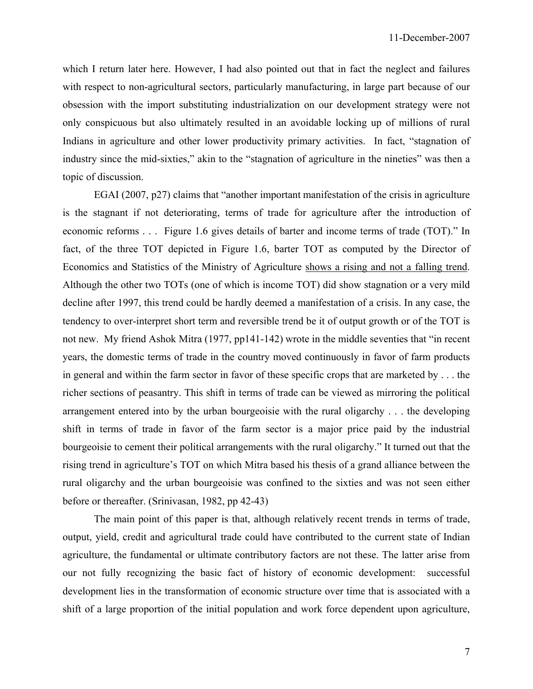which I return later here. However, I had also pointed out that in fact the neglect and failures with respect to non-agricultural sectors, particularly manufacturing, in large part because of our obsession with the import substituting industrialization on our development strategy were not only conspicuous but also ultimately resulted in an avoidable locking up of millions of rural Indians in agriculture and other lower productivity primary activities. In fact, "stagnation of industry since the mid-sixties," akin to the "stagnation of agriculture in the nineties" was then a topic of discussion.

 EGAI (2007, p27) claims that "another important manifestation of the crisis in agriculture is the stagnant if not deteriorating, terms of trade for agriculture after the introduction of economic reforms . . . Figure 1.6 gives details of barter and income terms of trade (TOT)." In fact, of the three TOT depicted in Figure 1.6, barter TOT as computed by the Director of Economics and Statistics of the Ministry of Agriculture shows a rising and not a falling trend. Although the other two TOTs (one of which is income TOT) did show stagnation or a very mild decline after 1997, this trend could be hardly deemed a manifestation of a crisis. In any case, the tendency to over-interpret short term and reversible trend be it of output growth or of the TOT is not new. My friend Ashok Mitra (1977, pp141-142) wrote in the middle seventies that "in recent years, the domestic terms of trade in the country moved continuously in favor of farm products in general and within the farm sector in favor of these specific crops that are marketed by . . . the richer sections of peasantry. This shift in terms of trade can be viewed as mirroring the political arrangement entered into by the urban bourgeoisie with the rural oligarchy . . . the developing shift in terms of trade in favor of the farm sector is a major price paid by the industrial bourgeoisie to cement their political arrangements with the rural oligarchy." It turned out that the rising trend in agriculture's TOT on which Mitra based his thesis of a grand alliance between the rural oligarchy and the urban bourgeoisie was confined to the sixties and was not seen either before or thereafter. (Srinivasan, 1982, pp 42-43)

 The main point of this paper is that, although relatively recent trends in terms of trade, output, yield, credit and agricultural trade could have contributed to the current state of Indian agriculture, the fundamental or ultimate contributory factors are not these. The latter arise from our not fully recognizing the basic fact of history of economic development: successful development lies in the transformation of economic structure over time that is associated with a shift of a large proportion of the initial population and work force dependent upon agriculture,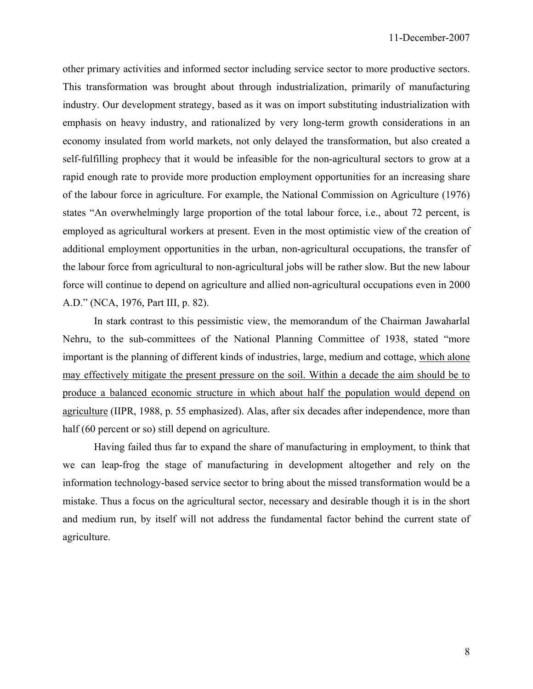other primary activities and informed sector including service sector to more productive sectors. This transformation was brought about through industrialization, primarily of manufacturing industry. Our development strategy, based as it was on import substituting industrialization with emphasis on heavy industry, and rationalized by very long-term growth considerations in an economy insulated from world markets, not only delayed the transformation, but also created a self-fulfilling prophecy that it would be infeasible for the non-agricultural sectors to grow at a rapid enough rate to provide more production employment opportunities for an increasing share of the labour force in agriculture. For example, the National Commission on Agriculture (1976) states "An overwhelmingly large proportion of the total labour force, i.e., about 72 percent, is employed as agricultural workers at present. Even in the most optimistic view of the creation of additional employment opportunities in the urban, non-agricultural occupations, the transfer of the labour force from agricultural to non-agricultural jobs will be rather slow. But the new labour force will continue to depend on agriculture and allied non-agricultural occupations even in 2000 A.D." (NCA, 1976, Part III, p. 82).

 In stark contrast to this pessimistic view, the memorandum of the Chairman Jawaharlal Nehru, to the sub-committees of the National Planning Committee of 1938, stated "more important is the planning of different kinds of industries, large, medium and cottage, which alone may effectively mitigate the present pressure on the soil. Within a decade the aim should be to produce a balanced economic structure in which about half the population would depend on agriculture (IIPR, 1988, p. 55 emphasized). Alas, after six decades after independence, more than half (60 percent or so) still depend on agriculture.

 Having failed thus far to expand the share of manufacturing in employment, to think that we can leap-frog the stage of manufacturing in development altogether and rely on the information technology-based service sector to bring about the missed transformation would be a mistake. Thus a focus on the agricultural sector, necessary and desirable though it is in the short and medium run, by itself will not address the fundamental factor behind the current state of agriculture.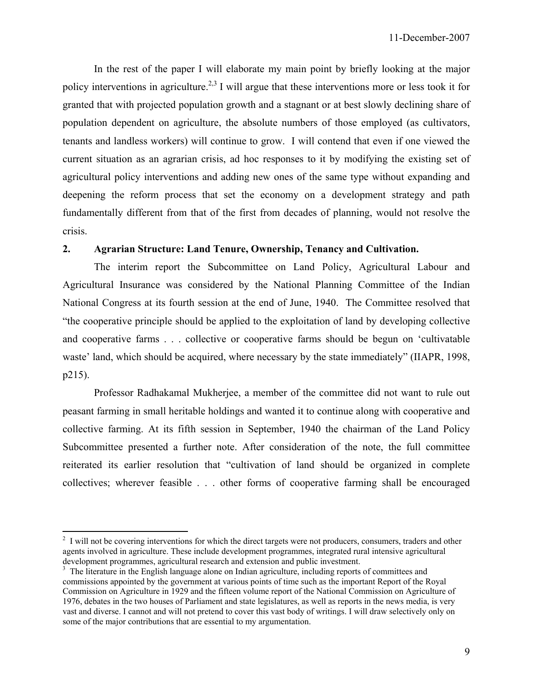In the rest of the paper I will elaborate my main point by briefly looking at the major policy interventions in agriculture.<sup>2,3</sup> I will argue that these interventions more or less took it for granted that with projected population growth and a stagnant or at best slowly declining share of population dependent on agriculture, the absolute numbers of those employed (as cultivators, tenants and landless workers) will continue to grow. I will contend that even if one viewed the current situation as an agrarian crisis, ad hoc responses to it by modifying the existing set of agricultural policy interventions and adding new ones of the same type without expanding and deepening the reform process that set the economy on a development strategy and path fundamentally different from that of the first from decades of planning, would not resolve the crisis.

## **2. Agrarian Structure: Land Tenure, Ownership, Tenancy and Cultivation.**

 The interim report the Subcommittee on Land Policy, Agricultural Labour and Agricultural Insurance was considered by the National Planning Committee of the Indian National Congress at its fourth session at the end of June, 1940. The Committee resolved that "the cooperative principle should be applied to the exploitation of land by developing collective and cooperative farms . . . collective or cooperative farms should be begun on 'cultivatable waste' land, which should be acquired, where necessary by the state immediately" (IIAPR, 1998, p215).

 Professor Radhakamal Mukherjee, a member of the committee did not want to rule out peasant farming in small heritable holdings and wanted it to continue along with cooperative and collective farming. At its fifth session in September, 1940 the chairman of the Land Policy Subcommittee presented a further note. After consideration of the note, the full committee reiterated its earlier resolution that "cultivation of land should be organized in complete collectives; wherever feasible . . . other forms of cooperative farming shall be encouraged

 $\overline{a}$ 

 $2\,$  I will not be covering interventions for which the direct targets were not producers, consumers, traders and other agents involved in agriculture. These include development programmes, integrated rural intensive agricultural development programmes, agricultural research and extension and public investment.

<sup>&</sup>lt;sup>3</sup> The literature in the English language alone on Indian agriculture, including reports of committees and commissions appointed by the government at various points of time such as the important Report of the Royal Commission on Agriculture in 1929 and the fifteen volume report of the National Commission on Agriculture of 1976, debates in the two houses of Parliament and state legislatures, as well as reports in the news media, is very vast and diverse. I cannot and will not pretend to cover this vast body of writings. I will draw selectively only on some of the major contributions that are essential to my argumentation.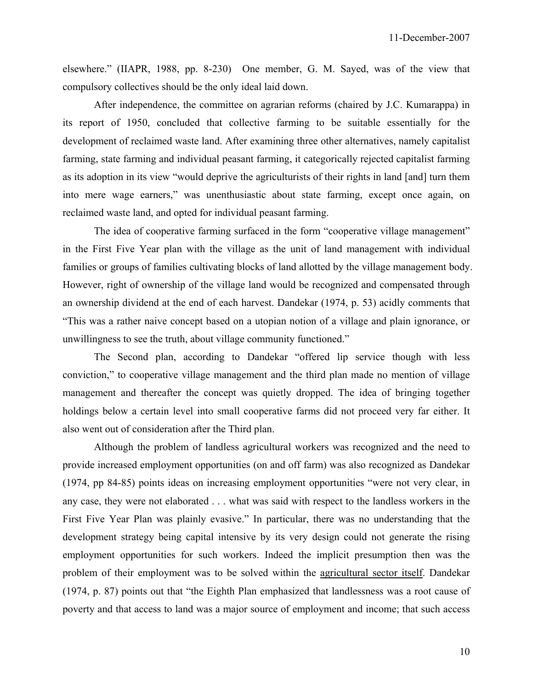elsewhere." (IIAPR, 1988, pp. 8-230) One member, G. M. Sayed, was of the view that compulsory collectives should be the only ideal laid down.

 After independence, the committee on agrarian reforms (chaired by J.C. Kumarappa) in its report of 1950, concluded that collective farming to be suitable essentially for the development of reclaimed waste land. After examining three other alternatives, namely capitalist farming, state farming and individual peasant farming, it categorically rejected capitalist farming as its adoption in its view "would deprive the agriculturists of their rights in land [and] turn them into mere wage earners," was unenthusiastic about state farming, except once again, on reclaimed waste land, and opted for individual peasant farming.

 The idea of cooperative farming surfaced in the form "cooperative village management" in the First Five Year plan with the village as the unit of land management with individual families or groups of families cultivating blocks of land allotted by the village management body. However, right of ownership of the village land would be recognized and compensated through an ownership dividend at the end of each harvest. Dandekar (1974, p. 53) acidly comments that "This was a rather naive concept based on a utopian notion of a village and plain ignorance, or unwillingness to see the truth, about village community functioned."

 The Second plan, according to Dandekar "offered lip service though with less conviction," to cooperative village management and the third plan made no mention of village management and thereafter the concept was quietly dropped. The idea of bringing together holdings below a certain level into small cooperative farms did not proceed very far either. It also went out of consideration after the Third plan.

 Although the problem of landless agricultural workers was recognized and the need to provide increased employment opportunities (on and off farm) was also recognized as Dandekar (1974, pp 84-85) points ideas on increasing employment opportunities "were not very clear, in any case, they were not elaborated . . . what was said with respect to the landless workers in the First Five Year Plan was plainly evasive." In particular, there was no understanding that the development strategy being capital intensive by its very design could not generate the rising employment opportunities for such workers. Indeed the implicit presumption then was the problem of their employment was to be solved within the agricultural sector itself. Dandekar (1974, p. 87) points out that "the Eighth Plan emphasized that landlessness was a root cause of poverty and that access to land was a major source of employment and income; that such access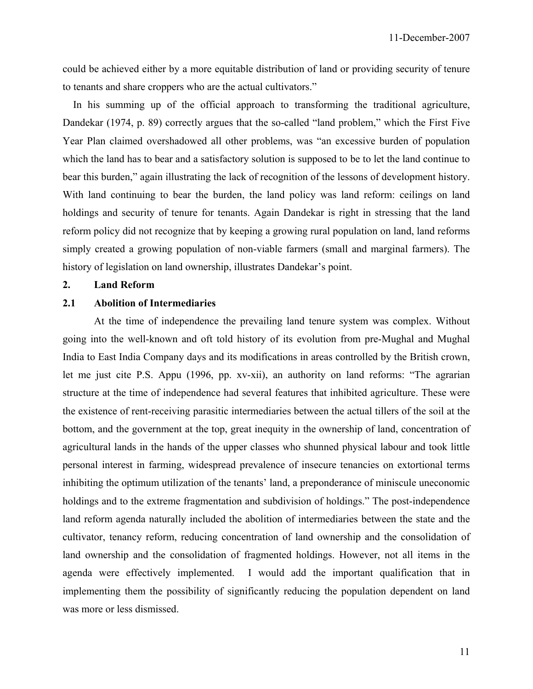11-December-2007

could be achieved either by a more equitable distribution of land or providing security of tenure to tenants and share croppers who are the actual cultivators."

 In his summing up of the official approach to transforming the traditional agriculture, Dandekar (1974, p. 89) correctly argues that the so-called "land problem," which the First Five Year Plan claimed overshadowed all other problems, was "an excessive burden of population which the land has to bear and a satisfactory solution is supposed to be to let the land continue to bear this burden," again illustrating the lack of recognition of the lessons of development history. With land continuing to bear the burden, the land policy was land reform: ceilings on land holdings and security of tenure for tenants. Again Dandekar is right in stressing that the land reform policy did not recognize that by keeping a growing rural population on land, land reforms simply created a growing population of non-viable farmers (small and marginal farmers). The history of legislation on land ownership, illustrates Dandekar's point.

#### **2. Land Reform**

## **2.1 Abolition of Intermediaries**

 At the time of independence the prevailing land tenure system was complex. Without going into the well-known and oft told history of its evolution from pre-Mughal and Mughal India to East India Company days and its modifications in areas controlled by the British crown, let me just cite P.S. Appu (1996, pp. xv-xii), an authority on land reforms: "The agrarian structure at the time of independence had several features that inhibited agriculture. These were the existence of rent-receiving parasitic intermediaries between the actual tillers of the soil at the bottom, and the government at the top, great inequity in the ownership of land, concentration of agricultural lands in the hands of the upper classes who shunned physical labour and took little personal interest in farming, widespread prevalence of insecure tenancies on extortional terms inhibiting the optimum utilization of the tenants' land, a preponderance of miniscule uneconomic holdings and to the extreme fragmentation and subdivision of holdings." The post-independence land reform agenda naturally included the abolition of intermediaries between the state and the cultivator, tenancy reform, reducing concentration of land ownership and the consolidation of land ownership and the consolidation of fragmented holdings. However, not all items in the agenda were effectively implemented. I would add the important qualification that in implementing them the possibility of significantly reducing the population dependent on land was more or less dismissed.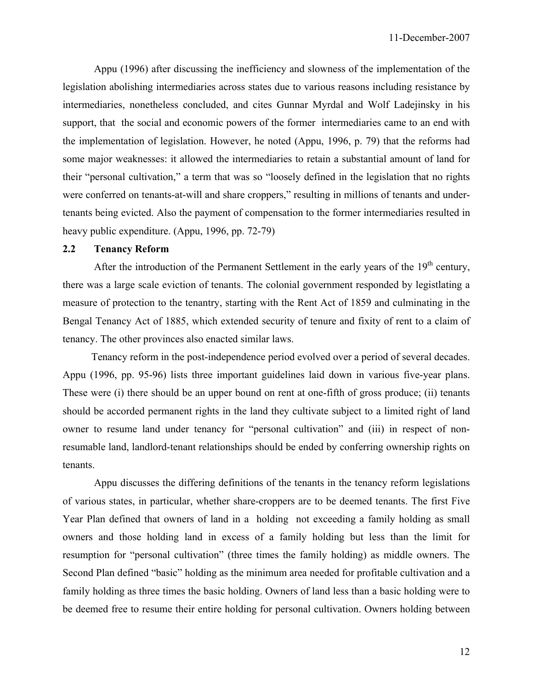Appu (1996) after discussing the inefficiency and slowness of the implementation of the legislation abolishing intermediaries across states due to various reasons including resistance by intermediaries, nonetheless concluded, and cites Gunnar Myrdal and Wolf Ladejinsky in his support, that the social and economic powers of the former intermediaries came to an end with the implementation of legislation. However, he noted (Appu, 1996, p. 79) that the reforms had some major weaknesses: it allowed the intermediaries to retain a substantial amount of land for their "personal cultivation," a term that was so "loosely defined in the legislation that no rights were conferred on tenants-at-will and share croppers," resulting in millions of tenants and undertenants being evicted. Also the payment of compensation to the former intermediaries resulted in heavy public expenditure. (Appu, 1996, pp. 72-79)

## **2.2 Tenancy Reform**

After the introduction of the Permanent Settlement in the early years of the  $19<sup>th</sup>$  century, there was a large scale eviction of tenants. The colonial government responded by legistlating a measure of protection to the tenantry, starting with the Rent Act of 1859 and culminating in the Bengal Tenancy Act of 1885, which extended security of tenure and fixity of rent to a claim of tenancy. The other provinces also enacted similar laws.

 Tenancy reform in the post-independence period evolved over a period of several decades. Appu (1996, pp. 95-96) lists three important guidelines laid down in various five-year plans. These were (i) there should be an upper bound on rent at one-fifth of gross produce; (ii) tenants should be accorded permanent rights in the land they cultivate subject to a limited right of land owner to resume land under tenancy for "personal cultivation" and (iii) in respect of nonresumable land, landlord-tenant relationships should be ended by conferring ownership rights on tenants.

 Appu discusses the differing definitions of the tenants in the tenancy reform legislations of various states, in particular, whether share-croppers are to be deemed tenants. The first Five Year Plan defined that owners of land in a holding not exceeding a family holding as small owners and those holding land in excess of a family holding but less than the limit for resumption for "personal cultivation" (three times the family holding) as middle owners. The Second Plan defined "basic" holding as the minimum area needed for profitable cultivation and a family holding as three times the basic holding. Owners of land less than a basic holding were to be deemed free to resume their entire holding for personal cultivation. Owners holding between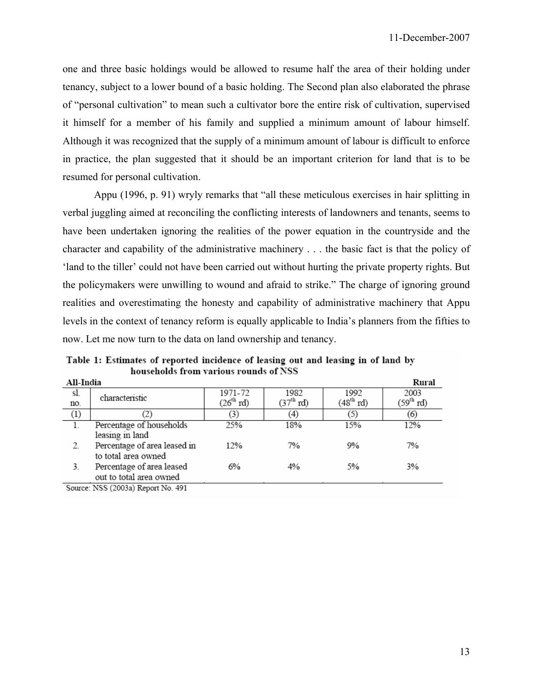one and three basic holdings would be allowed to resume half the area of their holding under tenancy, subject to a lower bound of a basic holding. The Second plan also elaborated the phrase of "personal cultivation" to mean such a cultivator bore the entire risk of cultivation, supervised it himself for a member of his family and supplied a minimum amount of labour himself. Although it was recognized that the supply of a minimum amount of labour is difficult to enforce in practice, the plan suggested that it should be an important criterion for land that is to be resumed for personal cultivation.

 Appu (1996, p. 91) wryly remarks that "all these meticulous exercises in hair splitting in verbal juggling aimed at reconciling the conflicting interests of landowners and tenants, seems to have been undertaken ignoring the realities of the power equation in the countryside and the character and capability of the administrative machinery . . . the basic fact is that the policy of 'land to the tiller' could not have been carried out without hurting the private property rights. But the policymakers were unwilling to wound and afraid to strike." The charge of ignoring ground realities and overestimating the honesty and capability of administrative machinery that Appu levels in the context of tenancy reform is equally applicable to India's planners from the fifties to now. Let me now turn to the data on land ownership and tenancy.

Table 1: Estimates of reported incidence of leasing out and leasing in of land by households from various rounds of NSS  $\cdots$   $\cdots$ 

| All-India        |                                                      |                |             |                       | Kural                 |
|------------------|------------------------------------------------------|----------------|-------------|-----------------------|-----------------------|
| sl.              | characteristic                                       | 1971-72        | 1982        | 1992                  | 2003                  |
| no.              |                                                      | $(26^{th}$ rd) | $(37th$ rd) | (48 <sup>th</sup> rd) | (59 <sup>th</sup> rd) |
| $\left(1\right)$ |                                                      | (3)            | (4)         | (5)                   | (6)                   |
|                  | Percentage of households<br>leasing in land          | 25%            | 18%         | 15%                   | 12%                   |
|                  | Percentage of area leased in<br>to total area owned  | 12%            | 7%          | 9%                    | 7%                    |
| 3.               | Percentage of area leased<br>out to total area owned | 6%             | 4%          | 5%                    | 3%                    |
| --               |                                                      |                |             |                       |                       |

Source: NSS (2003a) Report No. 491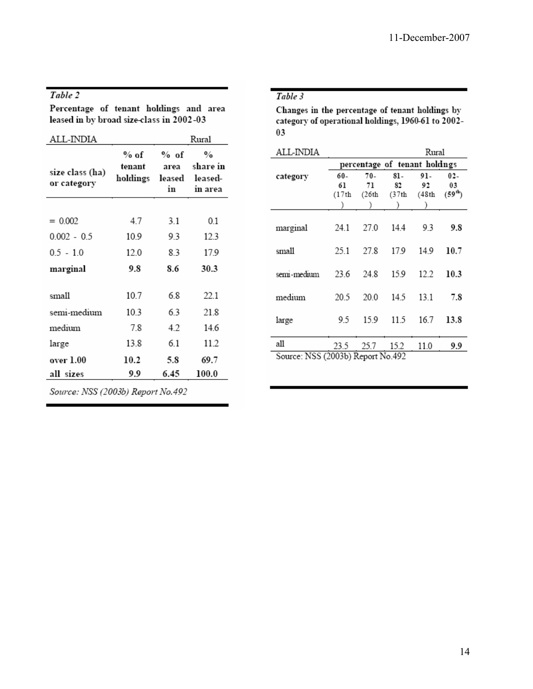## Table 2

Percentage of tenant holdings and area leased in by broad size-class in 2002-03

| ALL-INDIA                      |                            |                              | Rural                                                |
|--------------------------------|----------------------------|------------------------------|------------------------------------------------------|
| size class (ha)<br>or category | % of<br>tenant<br>holdings | % of<br>area<br>leased<br>in | $\frac{0}{\alpha}$<br>share in<br>leased-<br>in area |
|                                |                            |                              |                                                      |
| $= 0.002$                      | 47                         | 31                           | 0.1                                                  |
| $0.002 - 0.5$                  | 10.9                       | 9.3                          | 12.3                                                 |
| $0.5 - 1.0$                    | 12.0                       | 83                           | 17.9                                                 |
| marginal                       | 9.8                        | 86                           | 30.3                                                 |
| small                          | 10.7                       | 68                           | 22.1                                                 |
| semi-medium                    | 10.3                       | 6.3                          | 21.8                                                 |
| medium                         | 7.8                        | 4.2                          | 146                                                  |
| large                          | 13.8                       | 61                           | 11.2                                                 |
| over 1.00                      | 10.2                       | 5.8                          | 69.7                                                 |
| all sizes                      | 9.9                        | 6.45                         | 100.0                                                |

Source: NSS (2003b) Report No.492

## Table 3

Changes in the percentage of tenant holdings by category of operational holdings, 1960-61 to 2002- $03$ 

| ALL-INDIA                         | Rural |       |                               |       |                     |  |  |  |  |
|-----------------------------------|-------|-------|-------------------------------|-------|---------------------|--|--|--|--|
|                                   |       |       | percentage of tenant holdings |       |                     |  |  |  |  |
| category                          | 60-   | 70-   | 81-                           | 91-   | $02-$               |  |  |  |  |
|                                   | 61    | 71    | 82                            | 92    | 03                  |  |  |  |  |
|                                   | (17th | (26th | (37th                         | (48th | (59 <sup>th</sup> ) |  |  |  |  |
|                                   |       |       |                               |       |                     |  |  |  |  |
|                                   |       |       |                               |       |                     |  |  |  |  |
| marginal                          | 24.1  | 27.0  | 14.4                          | 93    | 9.8                 |  |  |  |  |
|                                   |       |       |                               |       |                     |  |  |  |  |
| small                             | 25.1  | 27.8  | 17.9                          | 14.9  | 10.7                |  |  |  |  |
|                                   |       |       |                               |       |                     |  |  |  |  |
|                                   |       |       |                               |       |                     |  |  |  |  |
| semi-medium                       | 23.6  | 24.8  | 15.9                          | 12.2  | 10.3                |  |  |  |  |
|                                   |       |       |                               |       |                     |  |  |  |  |
| medium                            | 20.5  | 200   | 14.5                          | 13.1  | 7.8                 |  |  |  |  |
|                                   |       |       |                               |       |                     |  |  |  |  |
| large                             | 9.5   | 15.9  | 11.5                          | 16.7  | 13.8                |  |  |  |  |
|                                   |       |       |                               |       |                     |  |  |  |  |
| all                               | 23.5  | 25.7  | 15.2                          | 11.0  | 9.9                 |  |  |  |  |
|                                   |       |       |                               |       |                     |  |  |  |  |
| Source: NSS (2003b) Report No.492 |       |       |                               |       |                     |  |  |  |  |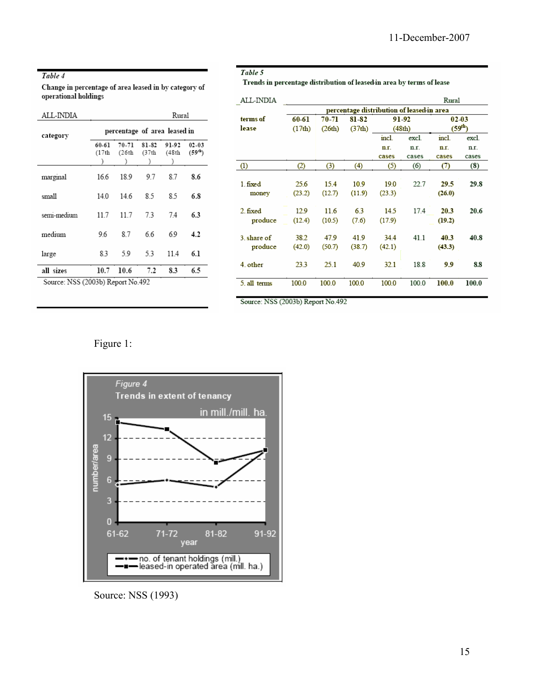#### Table 4

Change in percentage of area leased in by category of operational holdings

| ALL-INDIA                         |                              |                |                | Rural          |                          |  |  |  |  |
|-----------------------------------|------------------------------|----------------|----------------|----------------|--------------------------|--|--|--|--|
| category                          | percentage of area leased in |                |                |                |                          |  |  |  |  |
|                                   | 60-61<br>(17th               | 70-71<br>(26th | 81-82<br>(37th | 91-92<br>(48th | $02 - 03$<br>$(59^{th})$ |  |  |  |  |
| marginal                          | 16.6                         | 18.9           | 97             | 87             | 8.6                      |  |  |  |  |
| small                             | 14.0                         | 14.6           | 85             | 8.5            | 6.8                      |  |  |  |  |
| semi-medium                       | 11.7                         | 11.7           | 7.3            | 74             | 6.3                      |  |  |  |  |
| medium                            | 96                           | 8.7            | 66             | 69             | 4.2                      |  |  |  |  |
| large                             | 8.3                          | 59             | 53             | 11.4           | 6.1                      |  |  |  |  |
| all sizes                         | 10.7                         | 10.6           | 7.2            | 8.3            | 6.5                      |  |  |  |  |
| Source: NSS (2003b) Report No.492 |                              |                |                |                |                          |  |  |  |  |

#### Table 5

Trends in percentage distribution of leased-in area by terms of lease

| ALL-INDIA    |                                           |        |        |        |        | Rural       |       |  |  |  |
|--------------|-------------------------------------------|--------|--------|--------|--------|-------------|-------|--|--|--|
|              | percentage distribution of leased in area |        |        |        |        |             |       |  |  |  |
| terms of     | 60-61                                     | 70-71  | 81-82  | 91-92  |        | 0203        |       |  |  |  |
| lease        | (17th)                                    | (26th) | (37th) |        | (48th) | $(59^{th})$ |       |  |  |  |
|              |                                           |        |        | incl.  | excl.  | incl.       | excl. |  |  |  |
|              |                                           |        |        | n.r.   | n.r.   | n.r.        | n.r.  |  |  |  |
|              |                                           |        |        | cases  | cases  | cases       | cases |  |  |  |
| (1)          | (2)                                       | (3)    | (4)    | (5)    | (6)    | Ø           | (8)   |  |  |  |
|              |                                           |        |        |        |        |             |       |  |  |  |
| 1 fixed      | 25.6                                      | 15.4   | 10.9   | 190    | 22.7   | 29.5        | 29.8  |  |  |  |
| money        | (23.2)                                    | (12.7) | (11.9) | (23.3) |        | (26.0)      |       |  |  |  |
|              |                                           |        |        |        |        |             |       |  |  |  |
| 2 fixed      | 12.9                                      | 11.6   | 63     | 14.5   | 17.4   | 20.3        | 20.6  |  |  |  |
| produce      | (12.4)                                    | (10.5) | (7.6)  | (17.9) |        | (19.2)      |       |  |  |  |
|              |                                           |        |        |        |        |             |       |  |  |  |
| 3. share of  | 38.2                                      | 47.9   | 41.9   | 34.4   | 41.1   | 40.3        | 40.8  |  |  |  |
| produce      | (42.0)                                    | (50.7) | (38.7) | (42.1) |        | (43.3)      |       |  |  |  |
|              |                                           |        |        |        |        |             |       |  |  |  |
| 4. other     | 23.3                                      | 25.1   | 40.9   | 32.1   | 18.8   | 9.9         | 8.8   |  |  |  |
|              |                                           |        |        |        |        |             |       |  |  |  |
| 5. all terms | 100.0                                     | 100.0  | 100.0  | 100.0  | 100.0  | 100.0       | 100.0 |  |  |  |
|              |                                           |        |        |        |        |             |       |  |  |  |

Source: NSS (2003b) Report No.492

Figure 1:



Source: NSS (1993)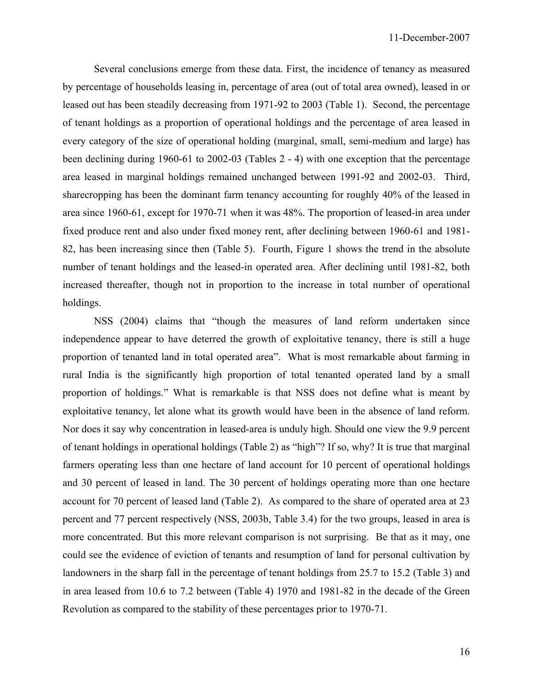Several conclusions emerge from these data. First, the incidence of tenancy as measured by percentage of households leasing in, percentage of area (out of total area owned), leased in or leased out has been steadily decreasing from 1971-92 to 2003 (Table 1). Second, the percentage of tenant holdings as a proportion of operational holdings and the percentage of area leased in every category of the size of operational holding (marginal, small, semi-medium and large) has been declining during 1960-61 to 2002-03 (Tables 2 - 4) with one exception that the percentage area leased in marginal holdings remained unchanged between 1991-92 and 2002-03. Third, sharecropping has been the dominant farm tenancy accounting for roughly 40% of the leased in area since 1960-61, except for 1970-71 when it was 48%. The proportion of leased-in area under fixed produce rent and also under fixed money rent, after declining between 1960-61 and 1981- 82, has been increasing since then (Table 5). Fourth, Figure 1 shows the trend in the absolute number of tenant holdings and the leased-in operated area. After declining until 1981-82, both increased thereafter, though not in proportion to the increase in total number of operational holdings.

 NSS (2004) claims that "though the measures of land reform undertaken since independence appear to have deterred the growth of exploitative tenancy, there is still a huge proportion of tenanted land in total operated area". What is most remarkable about farming in rural India is the significantly high proportion of total tenanted operated land by a small proportion of holdings." What is remarkable is that NSS does not define what is meant by exploitative tenancy, let alone what its growth would have been in the absence of land reform. Nor does it say why concentration in leased-area is unduly high. Should one view the 9.9 percent of tenant holdings in operational holdings (Table 2) as "high"? If so, why? It is true that marginal farmers operating less than one hectare of land account for 10 percent of operational holdings and 30 percent of leased in land. The 30 percent of holdings operating more than one hectare account for 70 percent of leased land (Table 2). As compared to the share of operated area at 23 percent and 77 percent respectively (NSS, 2003b, Table 3.4) for the two groups, leased in area is more concentrated. But this more relevant comparison is not surprising. Be that as it may, one could see the evidence of eviction of tenants and resumption of land for personal cultivation by landowners in the sharp fall in the percentage of tenant holdings from 25.7 to 15.2 (Table 3) and in area leased from 10.6 to 7.2 between (Table 4) 1970 and 1981-82 in the decade of the Green Revolution as compared to the stability of these percentages prior to 1970-71.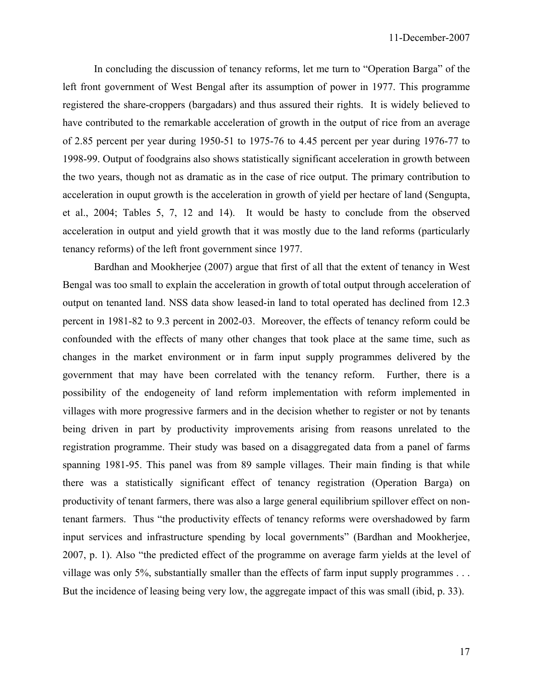In concluding the discussion of tenancy reforms, let me turn to "Operation Barga" of the left front government of West Bengal after its assumption of power in 1977. This programme registered the share-croppers (bargadars) and thus assured their rights. It is widely believed to have contributed to the remarkable acceleration of growth in the output of rice from an average of 2.85 percent per year during 1950-51 to 1975-76 to 4.45 percent per year during 1976-77 to 1998-99. Output of foodgrains also shows statistically significant acceleration in growth between the two years, though not as dramatic as in the case of rice output. The primary contribution to acceleration in ouput growth is the acceleration in growth of yield per hectare of land (Sengupta, et al., 2004; Tables 5, 7, 12 and 14). It would be hasty to conclude from the observed acceleration in output and yield growth that it was mostly due to the land reforms (particularly tenancy reforms) of the left front government since 1977.

 Bardhan and Mookherjee (2007) argue that first of all that the extent of tenancy in West Bengal was too small to explain the acceleration in growth of total output through acceleration of output on tenanted land. NSS data show leased-in land to total operated has declined from 12.3 percent in 1981-82 to 9.3 percent in 2002-03. Moreover, the effects of tenancy reform could be confounded with the effects of many other changes that took place at the same time, such as changes in the market environment or in farm input supply programmes delivered by the government that may have been correlated with the tenancy reform. Further, there is a possibility of the endogeneity of land reform implementation with reform implemented in villages with more progressive farmers and in the decision whether to register or not by tenants being driven in part by productivity improvements arising from reasons unrelated to the registration programme. Their study was based on a disaggregated data from a panel of farms spanning 1981-95. This panel was from 89 sample villages. Their main finding is that while there was a statistically significant effect of tenancy registration (Operation Barga) on productivity of tenant farmers, there was also a large general equilibrium spillover effect on nontenant farmers. Thus "the productivity effects of tenancy reforms were overshadowed by farm input services and infrastructure spending by local governments" (Bardhan and Mookherjee, 2007, p. 1). Also "the predicted effect of the programme on average farm yields at the level of village was only 5%, substantially smaller than the effects of farm input supply programmes . . . But the incidence of leasing being very low, the aggregate impact of this was small (ibid, p. 33).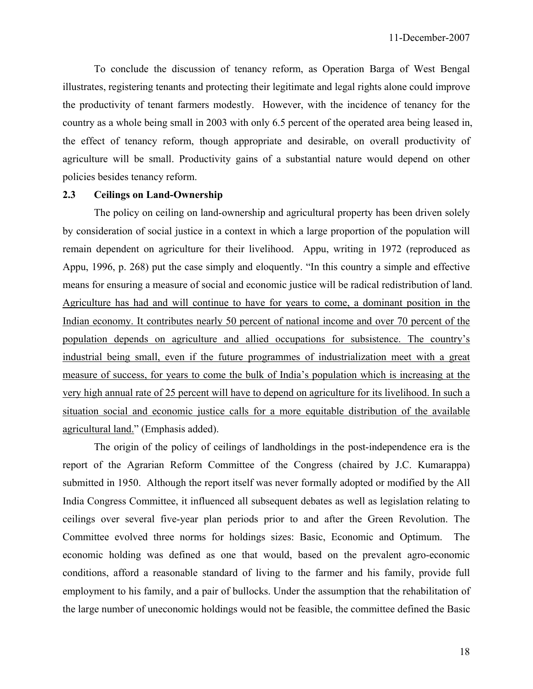To conclude the discussion of tenancy reform, as Operation Barga of West Bengal illustrates, registering tenants and protecting their legitimate and legal rights alone could improve the productivity of tenant farmers modestly. However, with the incidence of tenancy for the country as a whole being small in 2003 with only 6.5 percent of the operated area being leased in, the effect of tenancy reform, though appropriate and desirable, on overall productivity of agriculture will be small. Productivity gains of a substantial nature would depend on other policies besides tenancy reform.

#### **2.3 Ceilings on Land-Ownership**

 The policy on ceiling on land-ownership and agricultural property has been driven solely by consideration of social justice in a context in which a large proportion of the population will remain dependent on agriculture for their livelihood. Appu, writing in 1972 (reproduced as Appu, 1996, p. 268) put the case simply and eloquently. "In this country a simple and effective means for ensuring a measure of social and economic justice will be radical redistribution of land. Agriculture has had and will continue to have for years to come, a dominant position in the Indian economy. It contributes nearly 50 percent of national income and over 70 percent of the population depends on agriculture and allied occupations for subsistence. The country's industrial being small, even if the future programmes of industrialization meet with a great measure of success, for years to come the bulk of India's population which is increasing at the very high annual rate of 25 percent will have to depend on agriculture for its livelihood. In such a situation social and economic justice calls for a more equitable distribution of the available agricultural land." (Emphasis added).

 The origin of the policy of ceilings of landholdings in the post-independence era is the report of the Agrarian Reform Committee of the Congress (chaired by J.C. Kumarappa) submitted in 1950. Although the report itself was never formally adopted or modified by the All India Congress Committee, it influenced all subsequent debates as well as legislation relating to ceilings over several five-year plan periods prior to and after the Green Revolution. The Committee evolved three norms for holdings sizes: Basic, Economic and Optimum. The economic holding was defined as one that would, based on the prevalent agro-economic conditions, afford a reasonable standard of living to the farmer and his family, provide full employment to his family, and a pair of bullocks. Under the assumption that the rehabilitation of the large number of uneconomic holdings would not be feasible, the committee defined the Basic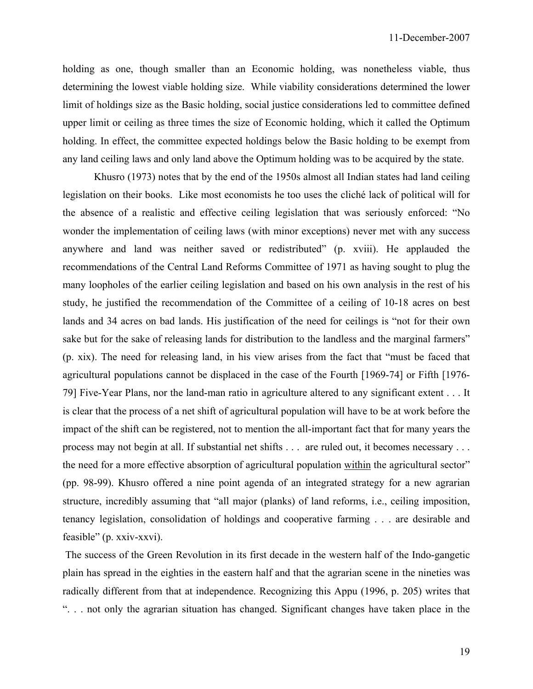holding as one, though smaller than an Economic holding, was nonetheless viable, thus determining the lowest viable holding size. While viability considerations determined the lower limit of holdings size as the Basic holding, social justice considerations led to committee defined upper limit or ceiling as three times the size of Economic holding, which it called the Optimum holding. In effect, the committee expected holdings below the Basic holding to be exempt from any land ceiling laws and only land above the Optimum holding was to be acquired by the state.

 Khusro (1973) notes that by the end of the 1950s almost all Indian states had land ceiling legislation on their books. Like most economists he too uses the cliché lack of political will for the absence of a realistic and effective ceiling legislation that was seriously enforced: "No wonder the implementation of ceiling laws (with minor exceptions) never met with any success anywhere and land was neither saved or redistributed" (p. xviii). He applauded the recommendations of the Central Land Reforms Committee of 1971 as having sought to plug the many loopholes of the earlier ceiling legislation and based on his own analysis in the rest of his study, he justified the recommendation of the Committee of a ceiling of 10-18 acres on best lands and 34 acres on bad lands. His justification of the need for ceilings is "not for their own sake but for the sake of releasing lands for distribution to the landless and the marginal farmers" (p. xix). The need for releasing land, in his view arises from the fact that "must be faced that agricultural populations cannot be displaced in the case of the Fourth [1969-74] or Fifth [1976- 79] Five-Year Plans, nor the land-man ratio in agriculture altered to any significant extent . . . It is clear that the process of a net shift of agricultural population will have to be at work before the impact of the shift can be registered, not to mention the all-important fact that for many years the process may not begin at all. If substantial net shifts . . . are ruled out, it becomes necessary . . . the need for a more effective absorption of agricultural population within the agricultural sector" (pp. 98-99). Khusro offered a nine point agenda of an integrated strategy for a new agrarian structure, incredibly assuming that "all major (planks) of land reforms, i.e., ceiling imposition, tenancy legislation, consolidation of holdings and cooperative farming . . . are desirable and feasible" (p. xxiv-xxvi).

 The success of the Green Revolution in its first decade in the western half of the Indo-gangetic plain has spread in the eighties in the eastern half and that the agrarian scene in the nineties was radically different from that at independence. Recognizing this Appu (1996, p. 205) writes that ". . . not only the agrarian situation has changed. Significant changes have taken place in the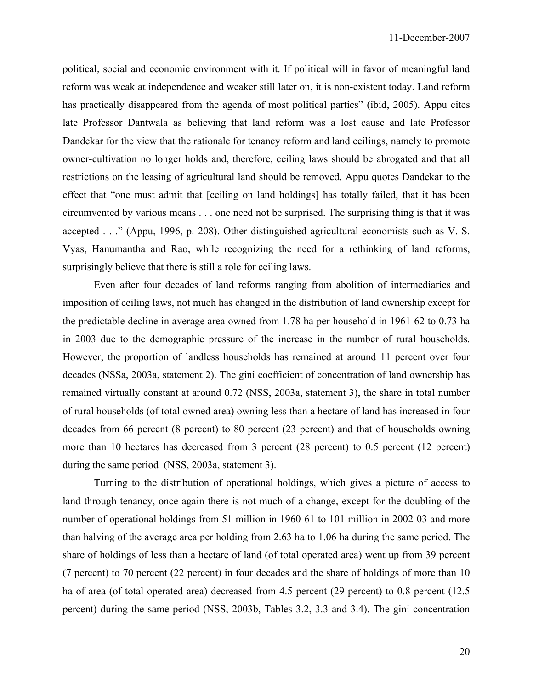political, social and economic environment with it. If political will in favor of meaningful land reform was weak at independence and weaker still later on, it is non-existent today. Land reform has practically disappeared from the agenda of most political parties" (ibid, 2005). Appu cites late Professor Dantwala as believing that land reform was a lost cause and late Professor Dandekar for the view that the rationale for tenancy reform and land ceilings, namely to promote owner-cultivation no longer holds and, therefore, ceiling laws should be abrogated and that all restrictions on the leasing of agricultural land should be removed. Appu quotes Dandekar to the effect that "one must admit that [ceiling on land holdings] has totally failed, that it has been circumvented by various means . . . one need not be surprised. The surprising thing is that it was accepted . . ." (Appu, 1996, p. 208). Other distinguished agricultural economists such as V. S. Vyas, Hanumantha and Rao, while recognizing the need for a rethinking of land reforms, surprisingly believe that there is still a role for ceiling laws.

 Even after four decades of land reforms ranging from abolition of intermediaries and imposition of ceiling laws, not much has changed in the distribution of land ownership except for the predictable decline in average area owned from 1.78 ha per household in 1961-62 to 0.73 ha in 2003 due to the demographic pressure of the increase in the number of rural households. However, the proportion of landless households has remained at around 11 percent over four decades (NSSa, 2003a, statement 2). The gini coefficient of concentration of land ownership has remained virtually constant at around 0.72 (NSS, 2003a, statement 3), the share in total number of rural households (of total owned area) owning less than a hectare of land has increased in four decades from 66 percent (8 percent) to 80 percent (23 percent) and that of households owning more than 10 hectares has decreased from 3 percent (28 percent) to 0.5 percent (12 percent) during the same period (NSS, 2003a, statement 3).

 Turning to the distribution of operational holdings, which gives a picture of access to land through tenancy, once again there is not much of a change, except for the doubling of the number of operational holdings from 51 million in 1960-61 to 101 million in 2002-03 and more than halving of the average area per holding from 2.63 ha to 1.06 ha during the same period. The share of holdings of less than a hectare of land (of total operated area) went up from 39 percent (7 percent) to 70 percent (22 percent) in four decades and the share of holdings of more than 10 ha of area (of total operated area) decreased from 4.5 percent (29 percent) to 0.8 percent (12.5 percent) during the same period (NSS, 2003b, Tables 3.2, 3.3 and 3.4). The gini concentration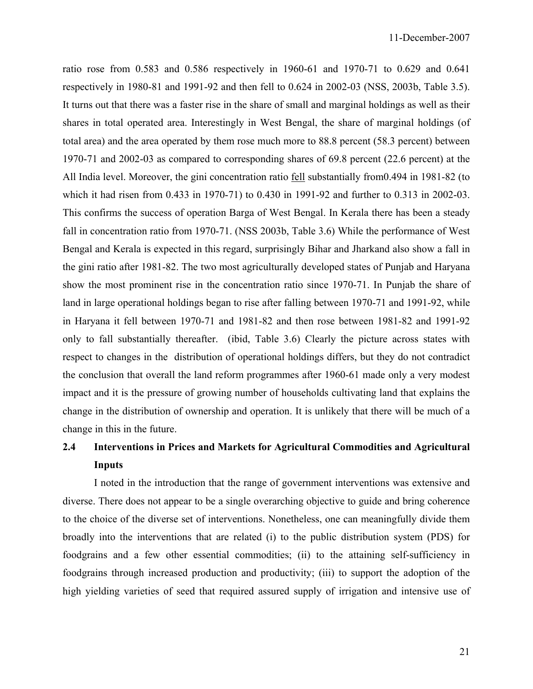ratio rose from 0.583 and 0.586 respectively in 1960-61 and 1970-71 to 0.629 and 0.641 respectively in 1980-81 and 1991-92 and then fell to 0.624 in 2002-03 (NSS, 2003b, Table 3.5). It turns out that there was a faster rise in the share of small and marginal holdings as well as their shares in total operated area. Interestingly in West Bengal, the share of marginal holdings (of total area) and the area operated by them rose much more to 88.8 percent (58.3 percent) between 1970-71 and 2002-03 as compared to corresponding shares of 69.8 percent (22.6 percent) at the All India level. Moreover, the gini concentration ratio fell substantially from0.494 in 1981-82 (to which it had risen from 0.433 in 1970-71) to 0.430 in 1991-92 and further to 0.313 in 2002-03. This confirms the success of operation Barga of West Bengal. In Kerala there has been a steady fall in concentration ratio from 1970-71. (NSS 2003b, Table 3.6) While the performance of West Bengal and Kerala is expected in this regard, surprisingly Bihar and Jharkand also show a fall in the gini ratio after 1981-82. The two most agriculturally developed states of Punjab and Haryana show the most prominent rise in the concentration ratio since 1970-71. In Punjab the share of land in large operational holdings began to rise after falling between 1970-71 and 1991-92, while in Haryana it fell between 1970-71 and 1981-82 and then rose between 1981-82 and 1991-92 only to fall substantially thereafter. (ibid, Table 3.6) Clearly the picture across states with respect to changes in the distribution of operational holdings differs, but they do not contradict the conclusion that overall the land reform programmes after 1960-61 made only a very modest impact and it is the pressure of growing number of households cultivating land that explains the change in the distribution of ownership and operation. It is unlikely that there will be much of a change in this in the future.

# **2.4 Interventions in Prices and Markets for Agricultural Commodities and Agricultural Inputs**

 I noted in the introduction that the range of government interventions was extensive and diverse. There does not appear to be a single overarching objective to guide and bring coherence to the choice of the diverse set of interventions. Nonetheless, one can meaningfully divide them broadly into the interventions that are related (i) to the public distribution system (PDS) for foodgrains and a few other essential commodities; (ii) to the attaining self-sufficiency in foodgrains through increased production and productivity; (iii) to support the adoption of the high yielding varieties of seed that required assured supply of irrigation and intensive use of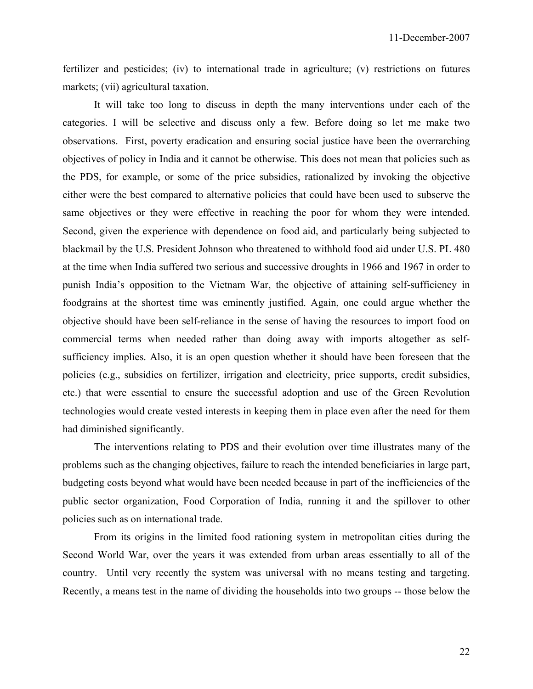fertilizer and pesticides; (iv) to international trade in agriculture; (v) restrictions on futures markets; (vii) agricultural taxation.

 It will take too long to discuss in depth the many interventions under each of the categories. I will be selective and discuss only a few. Before doing so let me make two observations. First, poverty eradication and ensuring social justice have been the overrarching objectives of policy in India and it cannot be otherwise. This does not mean that policies such as the PDS, for example, or some of the price subsidies, rationalized by invoking the objective either were the best compared to alternative policies that could have been used to subserve the same objectives or they were effective in reaching the poor for whom they were intended. Second, given the experience with dependence on food aid, and particularly being subjected to blackmail by the U.S. President Johnson who threatened to withhold food aid under U.S. PL 480 at the time when India suffered two serious and successive droughts in 1966 and 1967 in order to punish India's opposition to the Vietnam War, the objective of attaining self-sufficiency in foodgrains at the shortest time was eminently justified. Again, one could argue whether the objective should have been self-reliance in the sense of having the resources to import food on commercial terms when needed rather than doing away with imports altogether as selfsufficiency implies. Also, it is an open question whether it should have been foreseen that the policies (e.g., subsidies on fertilizer, irrigation and electricity, price supports, credit subsidies, etc.) that were essential to ensure the successful adoption and use of the Green Revolution technologies would create vested interests in keeping them in place even after the need for them had diminished significantly.

 The interventions relating to PDS and their evolution over time illustrates many of the problems such as the changing objectives, failure to reach the intended beneficiaries in large part, budgeting costs beyond what would have been needed because in part of the inefficiencies of the public sector organization, Food Corporation of India, running it and the spillover to other policies such as on international trade.

 From its origins in the limited food rationing system in metropolitan cities during the Second World War, over the years it was extended from urban areas essentially to all of the country. Until very recently the system was universal with no means testing and targeting. Recently, a means test in the name of dividing the households into two groups -- those below the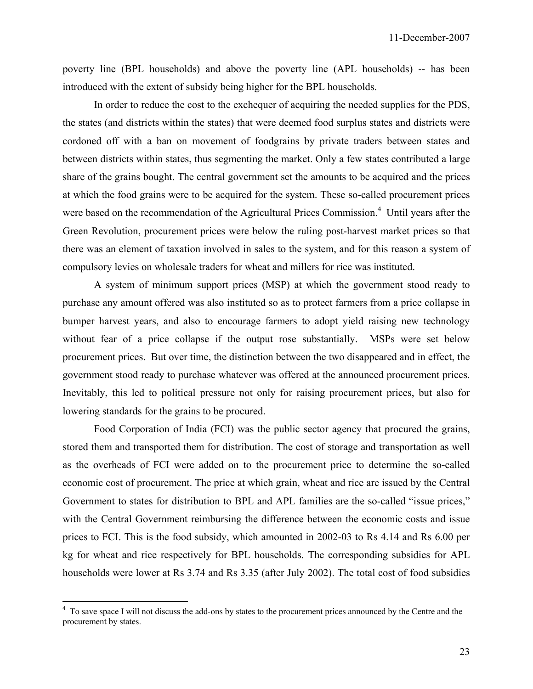poverty line (BPL households) and above the poverty line (APL households) -- has been introduced with the extent of subsidy being higher for the BPL households.

 In order to reduce the cost to the exchequer of acquiring the needed supplies for the PDS, the states (and districts within the states) that were deemed food surplus states and districts were cordoned off with a ban on movement of foodgrains by private traders between states and between districts within states, thus segmenting the market. Only a few states contributed a large share of the grains bought. The central government set the amounts to be acquired and the prices at which the food grains were to be acquired for the system. These so-called procurement prices were based on the recommendation of the Agricultural Prices Commission.<sup>4</sup> Until years after the Green Revolution, procurement prices were below the ruling post-harvest market prices so that there was an element of taxation involved in sales to the system, and for this reason a system of compulsory levies on wholesale traders for wheat and millers for rice was instituted.

 A system of minimum support prices (MSP) at which the government stood ready to purchase any amount offered was also instituted so as to protect farmers from a price collapse in bumper harvest years, and also to encourage farmers to adopt yield raising new technology without fear of a price collapse if the output rose substantially. MSPs were set below procurement prices. But over time, the distinction between the two disappeared and in effect, the government stood ready to purchase whatever was offered at the announced procurement prices. Inevitably, this led to political pressure not only for raising procurement prices, but also for lowering standards for the grains to be procured.

 Food Corporation of India (FCI) was the public sector agency that procured the grains, stored them and transported them for distribution. The cost of storage and transportation as well as the overheads of FCI were added on to the procurement price to determine the so-called economic cost of procurement. The price at which grain, wheat and rice are issued by the Central Government to states for distribution to BPL and APL families are the so-called "issue prices," with the Central Government reimbursing the difference between the economic costs and issue prices to FCI. This is the food subsidy, which amounted in 2002-03 to Rs 4.14 and Rs 6.00 per kg for wheat and rice respectively for BPL households. The corresponding subsidies for APL households were lower at Rs 3.74 and Rs 3.35 (after July 2002). The total cost of food subsidies

<sup>&</sup>lt;sup>4</sup> To save space I will not discuss the add-ons by states to the procurement prices announced by the Centre and the procurement by states.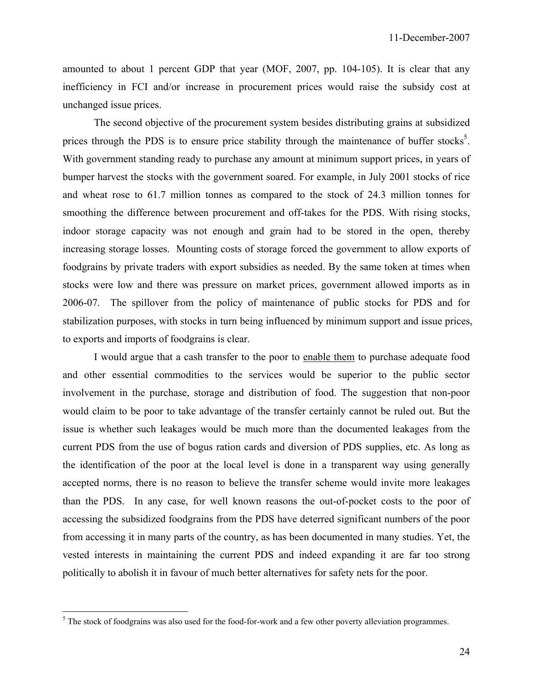amounted to about 1 percent GDP that year (MOF, 2007, pp. 104-105). It is clear that any inefficiency in FCI and/or increase in procurement prices would raise the subsidy cost at unchanged issue prices.

 The second objective of the procurement system besides distributing grains at subsidized prices through the PDS is to ensure price stability through the maintenance of buffer stocks<sup>5</sup>. With government standing ready to purchase any amount at minimum support prices, in years of bumper harvest the stocks with the government soared. For example, in July 2001 stocks of rice and wheat rose to 61.7 million tonnes as compared to the stock of 24.3 million tonnes for smoothing the difference between procurement and off-takes for the PDS. With rising stocks, indoor storage capacity was not enough and grain had to be stored in the open, thereby increasing storage losses. Mounting costs of storage forced the government to allow exports of foodgrains by private traders with export subsidies as needed. By the same token at times when stocks were low and there was pressure on market prices, government allowed imports as in 2006-07. The spillover from the policy of maintenance of public stocks for PDS and for stabilization purposes, with stocks in turn being influenced by minimum support and issue prices, to exports and imports of foodgrains is clear.

 I would argue that a cash transfer to the poor to enable them to purchase adequate food and other essential commodities to the services would be superior to the public sector involvement in the purchase, storage and distribution of food. The suggestion that non-poor would claim to be poor to take advantage of the transfer certainly cannot be ruled out. But the issue is whether such leakages would be much more than the documented leakages from the current PDS from the use of bogus ration cards and diversion of PDS supplies, etc. As long as the identification of the poor at the local level is done in a transparent way using generally accepted norms, there is no reason to believe the transfer scheme would invite more leakages than the PDS. In any case, for well known reasons the out-of-pocket costs to the poor of accessing the subsidized foodgrains from the PDS have deterred significant numbers of the poor from accessing it in many parts of the country, as has been documented in many studies. Yet, the vested interests in maintaining the current PDS and indeed expanding it are far too strong politically to abolish it in favour of much better alternatives for safety nets for the poor.

 $\overline{a}$ 

 $<sup>5</sup>$  The stock of foodgrains was also used for the food-for-work and a few other poverty alleviation programmes.</sup>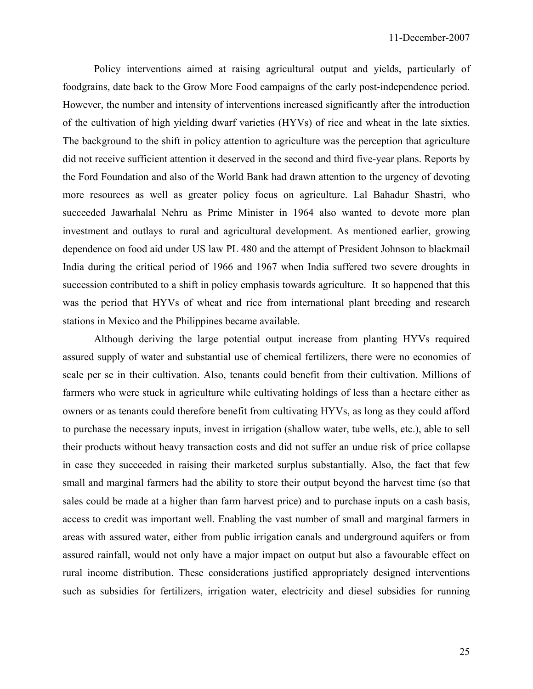Policy interventions aimed at raising agricultural output and yields, particularly of foodgrains, date back to the Grow More Food campaigns of the early post-independence period. However, the number and intensity of interventions increased significantly after the introduction of the cultivation of high yielding dwarf varieties (HYVs) of rice and wheat in the late sixties. The background to the shift in policy attention to agriculture was the perception that agriculture did not receive sufficient attention it deserved in the second and third five-year plans. Reports by the Ford Foundation and also of the World Bank had drawn attention to the urgency of devoting more resources as well as greater policy focus on agriculture. Lal Bahadur Shastri, who succeeded Jawarhalal Nehru as Prime Minister in 1964 also wanted to devote more plan investment and outlays to rural and agricultural development. As mentioned earlier, growing dependence on food aid under US law PL 480 and the attempt of President Johnson to blackmail India during the critical period of 1966 and 1967 when India suffered two severe droughts in succession contributed to a shift in policy emphasis towards agriculture. It so happened that this was the period that HYVs of wheat and rice from international plant breeding and research stations in Mexico and the Philippines became available.

 Although deriving the large potential output increase from planting HYVs required assured supply of water and substantial use of chemical fertilizers, there were no economies of scale per se in their cultivation. Also, tenants could benefit from their cultivation. Millions of farmers who were stuck in agriculture while cultivating holdings of less than a hectare either as owners or as tenants could therefore benefit from cultivating HYVs, as long as they could afford to purchase the necessary inputs, invest in irrigation (shallow water, tube wells, etc.), able to sell their products without heavy transaction costs and did not suffer an undue risk of price collapse in case they succeeded in raising their marketed surplus substantially. Also, the fact that few small and marginal farmers had the ability to store their output beyond the harvest time (so that sales could be made at a higher than farm harvest price) and to purchase inputs on a cash basis, access to credit was important well. Enabling the vast number of small and marginal farmers in areas with assured water, either from public irrigation canals and underground aquifers or from assured rainfall, would not only have a major impact on output but also a favourable effect on rural income distribution. These considerations justified appropriately designed interventions such as subsidies for fertilizers, irrigation water, electricity and diesel subsidies for running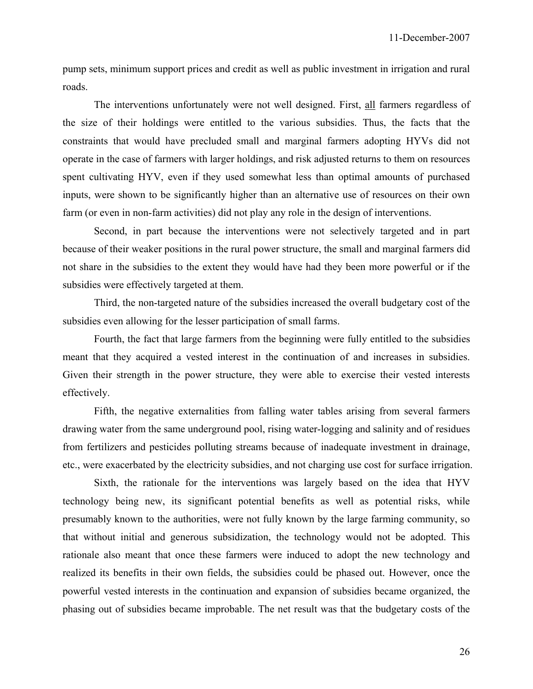pump sets, minimum support prices and credit as well as public investment in irrigation and rural roads.

 The interventions unfortunately were not well designed. First, all farmers regardless of the size of their holdings were entitled to the various subsidies. Thus, the facts that the constraints that would have precluded small and marginal farmers adopting HYVs did not operate in the case of farmers with larger holdings, and risk adjusted returns to them on resources spent cultivating HYV, even if they used somewhat less than optimal amounts of purchased inputs, were shown to be significantly higher than an alternative use of resources on their own farm (or even in non-farm activities) did not play any role in the design of interventions.

 Second, in part because the interventions were not selectively targeted and in part because of their weaker positions in the rural power structure, the small and marginal farmers did not share in the subsidies to the extent they would have had they been more powerful or if the subsidies were effectively targeted at them.

 Third, the non-targeted nature of the subsidies increased the overall budgetary cost of the subsidies even allowing for the lesser participation of small farms.

 Fourth, the fact that large farmers from the beginning were fully entitled to the subsidies meant that they acquired a vested interest in the continuation of and increases in subsidies. Given their strength in the power structure, they were able to exercise their vested interests effectively.

 Fifth, the negative externalities from falling water tables arising from several farmers drawing water from the same underground pool, rising water-logging and salinity and of residues from fertilizers and pesticides polluting streams because of inadequate investment in drainage, etc., were exacerbated by the electricity subsidies, and not charging use cost for surface irrigation.

 Sixth, the rationale for the interventions was largely based on the idea that HYV technology being new, its significant potential benefits as well as potential risks, while presumably known to the authorities, were not fully known by the large farming community, so that without initial and generous subsidization, the technology would not be adopted. This rationale also meant that once these farmers were induced to adopt the new technology and realized its benefits in their own fields, the subsidies could be phased out. However, once the powerful vested interests in the continuation and expansion of subsidies became organized, the phasing out of subsidies became improbable. The net result was that the budgetary costs of the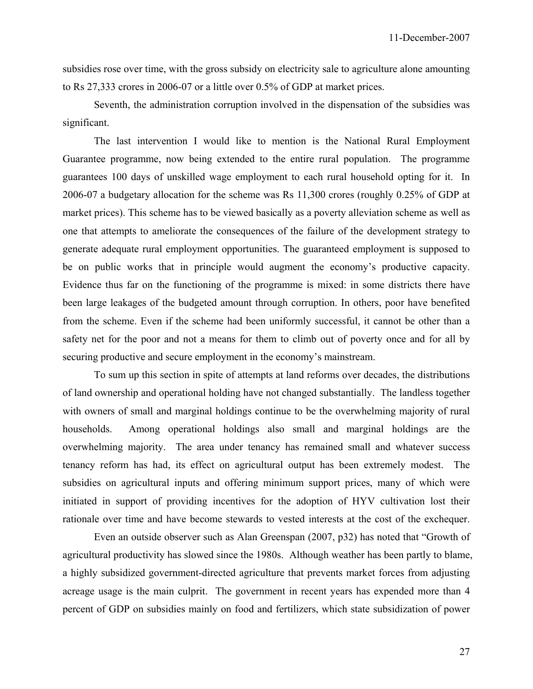subsidies rose over time, with the gross subsidy on electricity sale to agriculture alone amounting to Rs 27,333 crores in 2006-07 or a little over 0.5% of GDP at market prices.

 Seventh, the administration corruption involved in the dispensation of the subsidies was significant.

 The last intervention I would like to mention is the National Rural Employment Guarantee programme, now being extended to the entire rural population. The programme guarantees 100 days of unskilled wage employment to each rural household opting for it. In 2006-07 a budgetary allocation for the scheme was Rs 11,300 crores (roughly 0.25% of GDP at market prices). This scheme has to be viewed basically as a poverty alleviation scheme as well as one that attempts to ameliorate the consequences of the failure of the development strategy to generate adequate rural employment opportunities. The guaranteed employment is supposed to be on public works that in principle would augment the economy's productive capacity. Evidence thus far on the functioning of the programme is mixed: in some districts there have been large leakages of the budgeted amount through corruption. In others, poor have benefited from the scheme. Even if the scheme had been uniformly successful, it cannot be other than a safety net for the poor and not a means for them to climb out of poverty once and for all by securing productive and secure employment in the economy's mainstream.

 To sum up this section in spite of attempts at land reforms over decades, the distributions of land ownership and operational holding have not changed substantially. The landless together with owners of small and marginal holdings continue to be the overwhelming majority of rural households. Among operational holdings also small and marginal holdings are the overwhelming majority. The area under tenancy has remained small and whatever success tenancy reform has had, its effect on agricultural output has been extremely modest. The subsidies on agricultural inputs and offering minimum support prices, many of which were initiated in support of providing incentives for the adoption of HYV cultivation lost their rationale over time and have become stewards to vested interests at the cost of the exchequer.

 Even an outside observer such as Alan Greenspan (2007, p32) has noted that "Growth of agricultural productivity has slowed since the 1980s. Although weather has been partly to blame, a highly subsidized government-directed agriculture that prevents market forces from adjusting acreage usage is the main culprit. The government in recent years has expended more than 4 percent of GDP on subsidies mainly on food and fertilizers, which state subsidization of power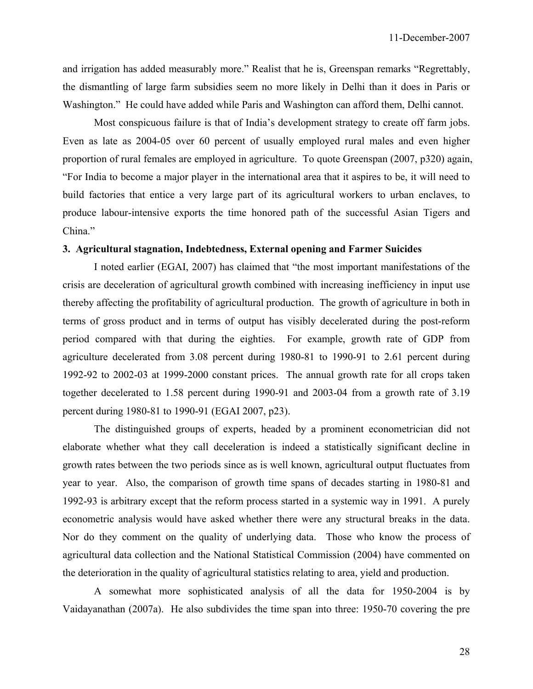and irrigation has added measurably more." Realist that he is, Greenspan remarks "Regrettably, the dismantling of large farm subsidies seem no more likely in Delhi than it does in Paris or Washington." He could have added while Paris and Washington can afford them, Delhi cannot.

 Most conspicuous failure is that of India's development strategy to create off farm jobs. Even as late as 2004-05 over 60 percent of usually employed rural males and even higher proportion of rural females are employed in agriculture. To quote Greenspan (2007, p320) again, "For India to become a major player in the international area that it aspires to be, it will need to build factories that entice a very large part of its agricultural workers to urban enclaves, to produce labour-intensive exports the time honored path of the successful Asian Tigers and China."

## **3. Agricultural stagnation, Indebtedness, External opening and Farmer Suicides**

 I noted earlier (EGAI, 2007) has claimed that "the most important manifestations of the crisis are deceleration of agricultural growth combined with increasing inefficiency in input use thereby affecting the profitability of agricultural production. The growth of agriculture in both in terms of gross product and in terms of output has visibly decelerated during the post-reform period compared with that during the eighties. For example, growth rate of GDP from agriculture decelerated from 3.08 percent during 1980-81 to 1990-91 to 2.61 percent during 1992-92 to 2002-03 at 1999-2000 constant prices. The annual growth rate for all crops taken together decelerated to 1.58 percent during 1990-91 and 2003-04 from a growth rate of 3.19 percent during 1980-81 to 1990-91 (EGAI 2007, p23).

 The distinguished groups of experts, headed by a prominent econometrician did not elaborate whether what they call deceleration is indeed a statistically significant decline in growth rates between the two periods since as is well known, agricultural output fluctuates from year to year. Also, the comparison of growth time spans of decades starting in 1980-81 and 1992-93 is arbitrary except that the reform process started in a systemic way in 1991. A purely econometric analysis would have asked whether there were any structural breaks in the data. Nor do they comment on the quality of underlying data. Those who know the process of agricultural data collection and the National Statistical Commission (2004) have commented on the deterioration in the quality of agricultural statistics relating to area, yield and production.

 A somewhat more sophisticated analysis of all the data for 1950-2004 is by Vaidayanathan (2007a). He also subdivides the time span into three: 1950-70 covering the pre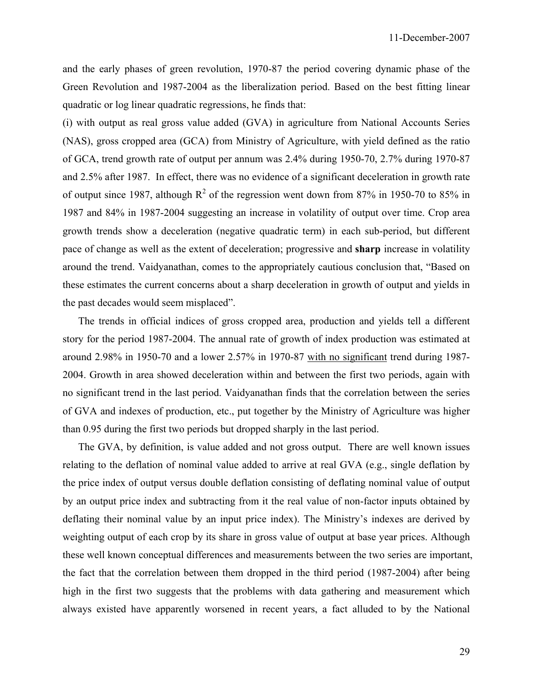and the early phases of green revolution, 1970-87 the period covering dynamic phase of the Green Revolution and 1987-2004 as the liberalization period. Based on the best fitting linear quadratic or log linear quadratic regressions, he finds that:

(i) with output as real gross value added (GVA) in agriculture from National Accounts Series (NAS), gross cropped area (GCA) from Ministry of Agriculture, with yield defined as the ratio of GCA, trend growth rate of output per annum was 2.4% during 1950-70, 2.7% during 1970-87 and 2.5% after 1987. In effect, there was no evidence of a significant deceleration in growth rate of output since 1987, although  $R^2$  of the regression went down from 87% in 1950-70 to 85% in 1987 and 84% in 1987-2004 suggesting an increase in volatility of output over time. Crop area growth trends show a deceleration (negative quadratic term) in each sub-period, but different pace of change as well as the extent of deceleration; progressive and **sharp** increase in volatility around the trend. Vaidyanathan, comes to the appropriately cautious conclusion that, "Based on these estimates the current concerns about a sharp deceleration in growth of output and yields in the past decades would seem misplaced".

 The trends in official indices of gross cropped area, production and yields tell a different story for the period 1987-2004. The annual rate of growth of index production was estimated at around 2.98% in 1950-70 and a lower 2.57% in 1970-87 with no significant trend during 1987- 2004. Growth in area showed deceleration within and between the first two periods, again with no significant trend in the last period. Vaidyanathan finds that the correlation between the series of GVA and indexes of production, etc., put together by the Ministry of Agriculture was higher than 0.95 during the first two periods but dropped sharply in the last period.

 The GVA, by definition, is value added and not gross output. There are well known issues relating to the deflation of nominal value added to arrive at real GVA (e.g., single deflation by the price index of output versus double deflation consisting of deflating nominal value of output by an output price index and subtracting from it the real value of non-factor inputs obtained by deflating their nominal value by an input price index). The Ministry's indexes are derived by weighting output of each crop by its share in gross value of output at base year prices. Although these well known conceptual differences and measurements between the two series are important, the fact that the correlation between them dropped in the third period (1987-2004) after being high in the first two suggests that the problems with data gathering and measurement which always existed have apparently worsened in recent years, a fact alluded to by the National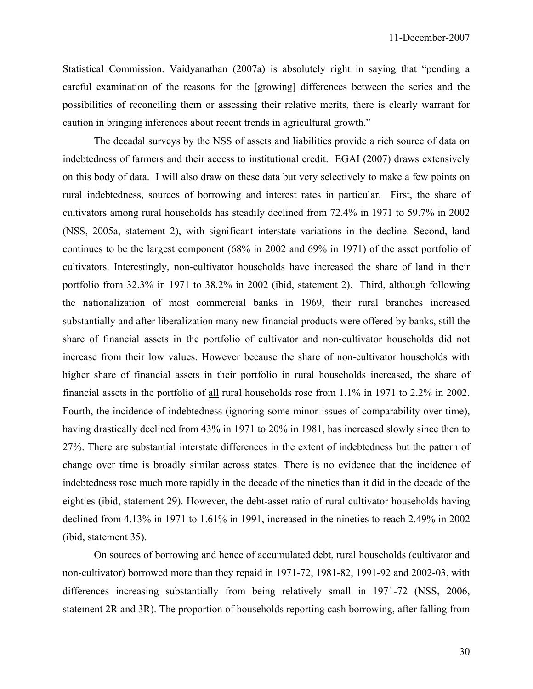Statistical Commission. Vaidyanathan (2007a) is absolutely right in saying that "pending a careful examination of the reasons for the [growing] differences between the series and the possibilities of reconciling them or assessing their relative merits, there is clearly warrant for caution in bringing inferences about recent trends in agricultural growth."

 The decadal surveys by the NSS of assets and liabilities provide a rich source of data on indebtedness of farmers and their access to institutional credit. EGAI (2007) draws extensively on this body of data. I will also draw on these data but very selectively to make a few points on rural indebtedness, sources of borrowing and interest rates in particular. First, the share of cultivators among rural households has steadily declined from 72.4% in 1971 to 59.7% in 2002 (NSS, 2005a, statement 2), with significant interstate variations in the decline. Second, land continues to be the largest component (68% in 2002 and 69% in 1971) of the asset portfolio of cultivators. Interestingly, non-cultivator households have increased the share of land in their portfolio from 32.3% in 1971 to 38.2% in 2002 (ibid, statement 2). Third, although following the nationalization of most commercial banks in 1969, their rural branches increased substantially and after liberalization many new financial products were offered by banks, still the share of financial assets in the portfolio of cultivator and non-cultivator households did not increase from their low values. However because the share of non-cultivator households with higher share of financial assets in their portfolio in rural households increased, the share of financial assets in the portfolio of all rural households rose from 1.1% in 1971 to 2.2% in 2002. Fourth, the incidence of indebtedness (ignoring some minor issues of comparability over time), having drastically declined from 43% in 1971 to 20% in 1981, has increased slowly since then to 27%. There are substantial interstate differences in the extent of indebtedness but the pattern of change over time is broadly similar across states. There is no evidence that the incidence of indebtedness rose much more rapidly in the decade of the nineties than it did in the decade of the eighties (ibid, statement 29). However, the debt-asset ratio of rural cultivator households having declined from 4.13% in 1971 to 1.61% in 1991, increased in the nineties to reach 2.49% in 2002 (ibid, statement 35).

 On sources of borrowing and hence of accumulated debt, rural households (cultivator and non-cultivator) borrowed more than they repaid in 1971-72, 1981-82, 1991-92 and 2002-03, with differences increasing substantially from being relatively small in 1971-72 (NSS, 2006, statement 2R and 3R). The proportion of households reporting cash borrowing, after falling from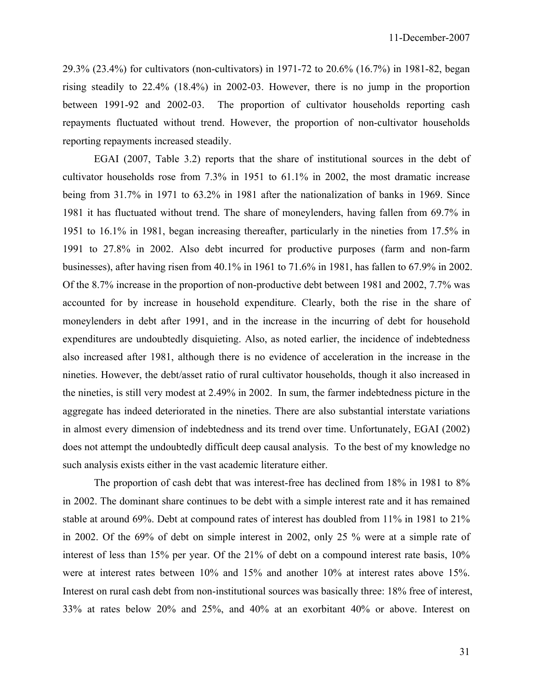29.3% (23.4%) for cultivators (non-cultivators) in 1971-72 to 20.6% (16.7%) in 1981-82, began rising steadily to 22.4% (18.4%) in 2002-03. However, there is no jump in the proportion between 1991-92 and 2002-03. The proportion of cultivator households reporting cash repayments fluctuated without trend. However, the proportion of non-cultivator households reporting repayments increased steadily.

 EGAI (2007, Table 3.2) reports that the share of institutional sources in the debt of cultivator households rose from 7.3% in 1951 to 61.1% in 2002, the most dramatic increase being from 31.7% in 1971 to 63.2% in 1981 after the nationalization of banks in 1969. Since 1981 it has fluctuated without trend. The share of moneylenders, having fallen from 69.7% in 1951 to 16.1% in 1981, began increasing thereafter, particularly in the nineties from 17.5% in 1991 to 27.8% in 2002. Also debt incurred for productive purposes (farm and non-farm businesses), after having risen from 40.1% in 1961 to 71.6% in 1981, has fallen to 67.9% in 2002. Of the 8.7% increase in the proportion of non-productive debt between 1981 and 2002, 7.7% was accounted for by increase in household expenditure. Clearly, both the rise in the share of moneylenders in debt after 1991, and in the increase in the incurring of debt for household expenditures are undoubtedly disquieting. Also, as noted earlier, the incidence of indebtedness also increased after 1981, although there is no evidence of acceleration in the increase in the nineties. However, the debt/asset ratio of rural cultivator households, though it also increased in the nineties, is still very modest at 2.49% in 2002. In sum, the farmer indebtedness picture in the aggregate has indeed deteriorated in the nineties. There are also substantial interstate variations in almost every dimension of indebtedness and its trend over time. Unfortunately, EGAI (2002) does not attempt the undoubtedly difficult deep causal analysis. To the best of my knowledge no such analysis exists either in the vast academic literature either.

 The proportion of cash debt that was interest-free has declined from 18% in 1981 to 8% in 2002. The dominant share continues to be debt with a simple interest rate and it has remained stable at around 69%. Debt at compound rates of interest has doubled from 11% in 1981 to 21% in 2002. Of the 69% of debt on simple interest in 2002, only 25 % were at a simple rate of interest of less than 15% per year. Of the 21% of debt on a compound interest rate basis, 10% were at interest rates between 10% and 15% and another 10% at interest rates above 15%. Interest on rural cash debt from non-institutional sources was basically three: 18% free of interest, 33% at rates below 20% and 25%, and 40% at an exorbitant 40% or above. Interest on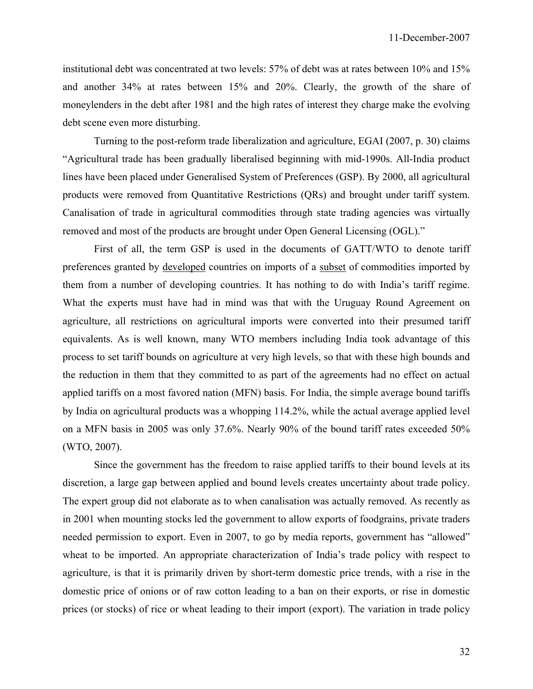institutional debt was concentrated at two levels: 57% of debt was at rates between 10% and 15% and another 34% at rates between 15% and 20%. Clearly, the growth of the share of moneylenders in the debt after 1981 and the high rates of interest they charge make the evolving debt scene even more disturbing.

 Turning to the post-reform trade liberalization and agriculture, EGAI (2007, p. 30) claims "Agricultural trade has been gradually liberalised beginning with mid-1990s. All-India product lines have been placed under Generalised System of Preferences (GSP). By 2000, all agricultural products were removed from Quantitative Restrictions (QRs) and brought under tariff system. Canalisation of trade in agricultural commodities through state trading agencies was virtually removed and most of the products are brought under Open General Licensing (OGL)."

 First of all, the term GSP is used in the documents of GATT/WTO to denote tariff preferences granted by developed countries on imports of a subset of commodities imported by them from a number of developing countries. It has nothing to do with India's tariff regime. What the experts must have had in mind was that with the Uruguay Round Agreement on agriculture, all restrictions on agricultural imports were converted into their presumed tariff equivalents. As is well known, many WTO members including India took advantage of this process to set tariff bounds on agriculture at very high levels, so that with these high bounds and the reduction in them that they committed to as part of the agreements had no effect on actual applied tariffs on a most favored nation (MFN) basis. For India, the simple average bound tariffs by India on agricultural products was a whopping 114.2%, while the actual average applied level on a MFN basis in 2005 was only 37.6%. Nearly 90% of the bound tariff rates exceeded 50% (WTO, 2007).

 Since the government has the freedom to raise applied tariffs to their bound levels at its discretion, a large gap between applied and bound levels creates uncertainty about trade policy. The expert group did not elaborate as to when canalisation was actually removed. As recently as in 2001 when mounting stocks led the government to allow exports of foodgrains, private traders needed permission to export. Even in 2007, to go by media reports, government has "allowed" wheat to be imported. An appropriate characterization of India's trade policy with respect to agriculture, is that it is primarily driven by short-term domestic price trends, with a rise in the domestic price of onions or of raw cotton leading to a ban on their exports, or rise in domestic prices (or stocks) of rice or wheat leading to their import (export). The variation in trade policy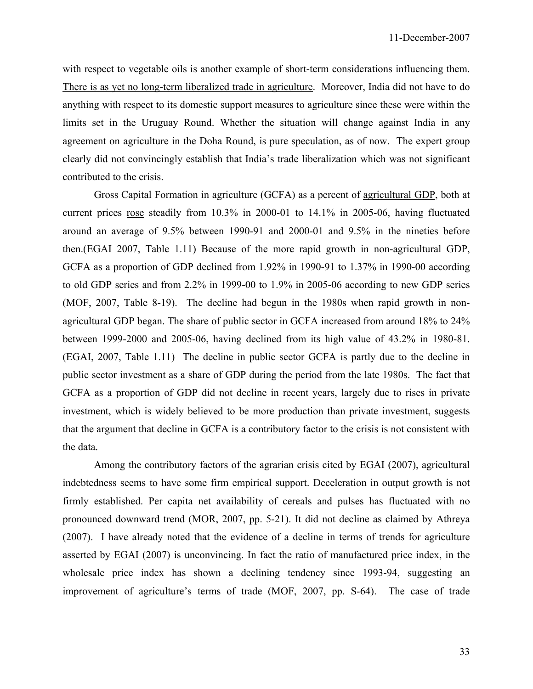with respect to vegetable oils is another example of short-term considerations influencing them. There is as yet no long-term liberalized trade in agriculture. Moreover, India did not have to do anything with respect to its domestic support measures to agriculture since these were within the limits set in the Uruguay Round. Whether the situation will change against India in any agreement on agriculture in the Doha Round, is pure speculation, as of now. The expert group clearly did not convincingly establish that India's trade liberalization which was not significant contributed to the crisis.

 Gross Capital Formation in agriculture (GCFA) as a percent of agricultural GDP, both at current prices rose steadily from 10.3% in 2000-01 to 14.1% in 2005-06, having fluctuated around an average of 9.5% between 1990-91 and 2000-01 and 9.5% in the nineties before then.(EGAI 2007, Table 1.11) Because of the more rapid growth in non-agricultural GDP, GCFA as a proportion of GDP declined from 1.92% in 1990-91 to 1.37% in 1990-00 according to old GDP series and from 2.2% in 1999-00 to 1.9% in 2005-06 according to new GDP series (MOF, 2007, Table 8-19). The decline had begun in the 1980s when rapid growth in nonagricultural GDP began. The share of public sector in GCFA increased from around 18% to 24% between 1999-2000 and 2005-06, having declined from its high value of 43.2% in 1980-81. (EGAI, 2007, Table 1.11) The decline in public sector GCFA is partly due to the decline in public sector investment as a share of GDP during the period from the late 1980s. The fact that GCFA as a proportion of GDP did not decline in recent years, largely due to rises in private investment, which is widely believed to be more production than private investment, suggests that the argument that decline in GCFA is a contributory factor to the crisis is not consistent with the data.

 Among the contributory factors of the agrarian crisis cited by EGAI (2007), agricultural indebtedness seems to have some firm empirical support. Deceleration in output growth is not firmly established. Per capita net availability of cereals and pulses has fluctuated with no pronounced downward trend (MOR, 2007, pp. 5-21). It did not decline as claimed by Athreya (2007). I have already noted that the evidence of a decline in terms of trends for agriculture asserted by EGAI (2007) is unconvincing. In fact the ratio of manufactured price index, in the wholesale price index has shown a declining tendency since 1993-94, suggesting an improvement of agriculture's terms of trade (MOF, 2007, pp. S-64). The case of trade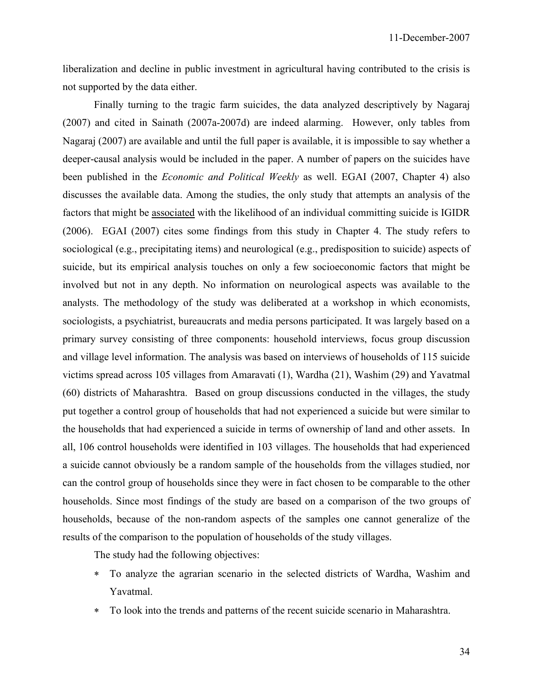liberalization and decline in public investment in agricultural having contributed to the crisis is not supported by the data either.

 Finally turning to the tragic farm suicides, the data analyzed descriptively by Nagaraj (2007) and cited in Sainath (2007a-2007d) are indeed alarming. However, only tables from Nagaraj (2007) are available and until the full paper is available, it is impossible to say whether a deeper-causal analysis would be included in the paper. A number of papers on the suicides have been published in the *Economic and Political Weekly* as well. EGAI (2007, Chapter 4) also discusses the available data. Among the studies, the only study that attempts an analysis of the factors that might be associated with the likelihood of an individual committing suicide is IGIDR (2006). EGAI (2007) cites some findings from this study in Chapter 4. The study refers to sociological (e.g., precipitating items) and neurological (e.g., predisposition to suicide) aspects of suicide, but its empirical analysis touches on only a few socioeconomic factors that might be involved but not in any depth. No information on neurological aspects was available to the analysts. The methodology of the study was deliberated at a workshop in which economists, sociologists, a psychiatrist, bureaucrats and media persons participated. It was largely based on a primary survey consisting of three components: household interviews, focus group discussion and village level information. The analysis was based on interviews of households of 115 suicide victims spread across 105 villages from Amaravati (1), Wardha (21), Washim (29) and Yavatmal (60) districts of Maharashtra. Based on group discussions conducted in the villages, the study put together a control group of households that had not experienced a suicide but were similar to the households that had experienced a suicide in terms of ownership of land and other assets. In all, 106 control households were identified in 103 villages. The households that had experienced a suicide cannot obviously be a random sample of the households from the villages studied, nor can the control group of households since they were in fact chosen to be comparable to the other households. Since most findings of the study are based on a comparison of the two groups of households, because of the non-random aspects of the samples one cannot generalize of the results of the comparison to the population of households of the study villages.

The study had the following objectives:

- ∗ To analyze the agrarian scenario in the selected districts of Wardha, Washim and Yavatmal.
- ∗ To look into the trends and patterns of the recent suicide scenario in Maharashtra.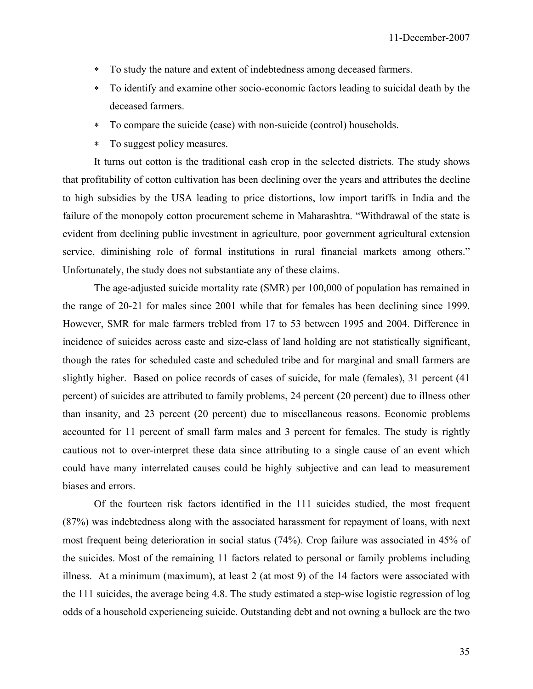- ∗ To study the nature and extent of indebtedness among deceased farmers.
- ∗ To identify and examine other socio-economic factors leading to suicidal death by the deceased farmers.
- ∗ To compare the suicide (case) with non-suicide (control) households.
- ∗ To suggest policy measures.

 It turns out cotton is the traditional cash crop in the selected districts. The study shows that profitability of cotton cultivation has been declining over the years and attributes the decline to high subsidies by the USA leading to price distortions, low import tariffs in India and the failure of the monopoly cotton procurement scheme in Maharashtra. "Withdrawal of the state is evident from declining public investment in agriculture, poor government agricultural extension service, diminishing role of formal institutions in rural financial markets among others." Unfortunately, the study does not substantiate any of these claims.

 The age-adjusted suicide mortality rate (SMR) per 100,000 of population has remained in the range of 20-21 for males since 2001 while that for females has been declining since 1999. However, SMR for male farmers trebled from 17 to 53 between 1995 and 2004. Difference in incidence of suicides across caste and size-class of land holding are not statistically significant, though the rates for scheduled caste and scheduled tribe and for marginal and small farmers are slightly higher. Based on police records of cases of suicide, for male (females), 31 percent (41 percent) of suicides are attributed to family problems, 24 percent (20 percent) due to illness other than insanity, and 23 percent (20 percent) due to miscellaneous reasons. Economic problems accounted for 11 percent of small farm males and 3 percent for females. The study is rightly cautious not to over-interpret these data since attributing to a single cause of an event which could have many interrelated causes could be highly subjective and can lead to measurement biases and errors.

 Of the fourteen risk factors identified in the 111 suicides studied, the most frequent (87%) was indebtedness along with the associated harassment for repayment of loans, with next most frequent being deterioration in social status (74%). Crop failure was associated in 45% of the suicides. Most of the remaining 11 factors related to personal or family problems including illness. At a minimum (maximum), at least 2 (at most 9) of the 14 factors were associated with the 111 suicides, the average being 4.8. The study estimated a step-wise logistic regression of log odds of a household experiencing suicide. Outstanding debt and not owning a bullock are the two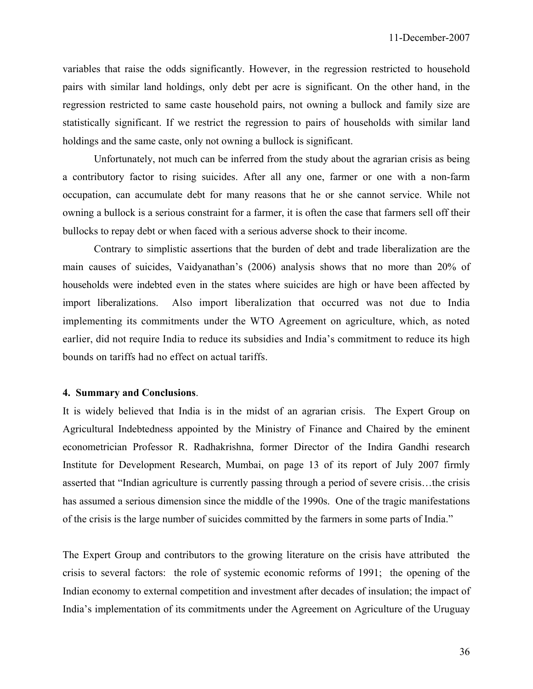variables that raise the odds significantly. However, in the regression restricted to household pairs with similar land holdings, only debt per acre is significant. On the other hand, in the regression restricted to same caste household pairs, not owning a bullock and family size are statistically significant. If we restrict the regression to pairs of households with similar land holdings and the same caste, only not owning a bullock is significant.

 Unfortunately, not much can be inferred from the study about the agrarian crisis as being a contributory factor to rising suicides. After all any one, farmer or one with a non-farm occupation, can accumulate debt for many reasons that he or she cannot service. While not owning a bullock is a serious constraint for a farmer, it is often the case that farmers sell off their bullocks to repay debt or when faced with a serious adverse shock to their income.

 Contrary to simplistic assertions that the burden of debt and trade liberalization are the main causes of suicides, Vaidyanathan's (2006) analysis shows that no more than 20% of households were indebted even in the states where suicides are high or have been affected by import liberalizations. Also import liberalization that occurred was not due to India implementing its commitments under the WTO Agreement on agriculture, which, as noted earlier, did not require India to reduce its subsidies and India's commitment to reduce its high bounds on tariffs had no effect on actual tariffs.

## **4. Summary and Conclusions**.

It is widely believed that India is in the midst of an agrarian crisis. The Expert Group on Agricultural Indebtedness appointed by the Ministry of Finance and Chaired by the eminent econometrician Professor R. Radhakrishna, former Director of the Indira Gandhi research Institute for Development Research, Mumbai, on page 13 of its report of July 2007 firmly asserted that "Indian agriculture is currently passing through a period of severe crisis…the crisis has assumed a serious dimension since the middle of the 1990s. One of the tragic manifestations of the crisis is the large number of suicides committed by the farmers in some parts of India."

The Expert Group and contributors to the growing literature on the crisis have attributed the crisis to several factors: the role of systemic economic reforms of 1991; the opening of the Indian economy to external competition and investment after decades of insulation; the impact of India's implementation of its commitments under the Agreement on Agriculture of the Uruguay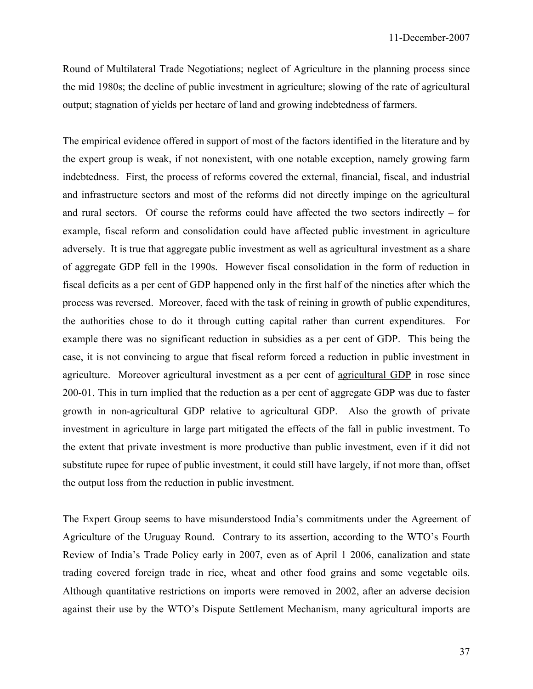Round of Multilateral Trade Negotiations; neglect of Agriculture in the planning process since the mid 1980s; the decline of public investment in agriculture; slowing of the rate of agricultural output; stagnation of yields per hectare of land and growing indebtedness of farmers.

The empirical evidence offered in support of most of the factors identified in the literature and by the expert group is weak, if not nonexistent, with one notable exception, namely growing farm indebtedness. First, the process of reforms covered the external, financial, fiscal, and industrial and infrastructure sectors and most of the reforms did not directly impinge on the agricultural and rural sectors. Of course the reforms could have affected the two sectors indirectly – for example, fiscal reform and consolidation could have affected public investment in agriculture adversely. It is true that aggregate public investment as well as agricultural investment as a share of aggregate GDP fell in the 1990s. However fiscal consolidation in the form of reduction in fiscal deficits as a per cent of GDP happened only in the first half of the nineties after which the process was reversed. Moreover, faced with the task of reining in growth of public expenditures, the authorities chose to do it through cutting capital rather than current expenditures. For example there was no significant reduction in subsidies as a per cent of GDP. This being the case, it is not convincing to argue that fiscal reform forced a reduction in public investment in agriculture. Moreover agricultural investment as a per cent of agricultural GDP in rose since 200-01. This in turn implied that the reduction as a per cent of aggregate GDP was due to faster growth in non-agricultural GDP relative to agricultural GDP. Also the growth of private investment in agriculture in large part mitigated the effects of the fall in public investment. To the extent that private investment is more productive than public investment, even if it did not substitute rupee for rupee of public investment, it could still have largely, if not more than, offset the output loss from the reduction in public investment.

The Expert Group seems to have misunderstood India's commitments under the Agreement of Agriculture of the Uruguay Round. Contrary to its assertion, according to the WTO's Fourth Review of India's Trade Policy early in 2007, even as of April 1 2006, canalization and state trading covered foreign trade in rice, wheat and other food grains and some vegetable oils. Although quantitative restrictions on imports were removed in 2002, after an adverse decision against their use by the WTO's Dispute Settlement Mechanism, many agricultural imports are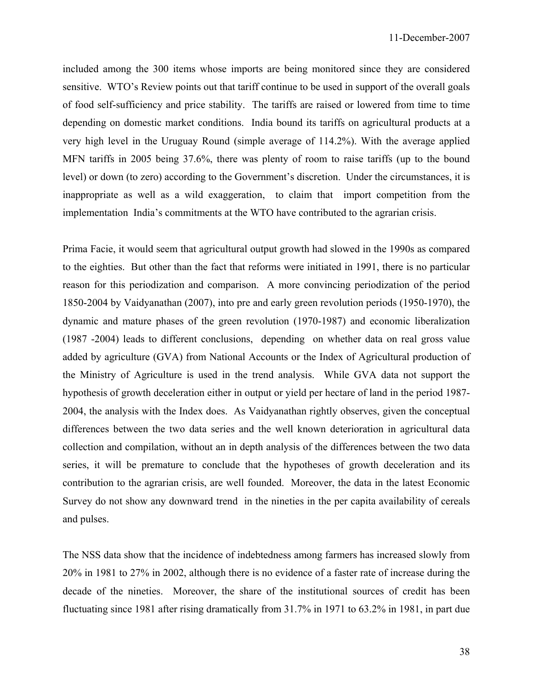included among the 300 items whose imports are being monitored since they are considered sensitive. WTO's Review points out that tariff continue to be used in support of the overall goals of food self-sufficiency and price stability. The tariffs are raised or lowered from time to time depending on domestic market conditions. India bound its tariffs on agricultural products at a very high level in the Uruguay Round (simple average of 114.2%). With the average applied MFN tariffs in 2005 being 37.6%, there was plenty of room to raise tariffs (up to the bound level) or down (to zero) according to the Government's discretion. Under the circumstances, it is inappropriate as well as a wild exaggeration, to claim that import competition from the implementation India's commitments at the WTO have contributed to the agrarian crisis.

Prima Facie, it would seem that agricultural output growth had slowed in the 1990s as compared to the eighties. But other than the fact that reforms were initiated in 1991, there is no particular reason for this periodization and comparison. A more convincing periodization of the period 1850-2004 by Vaidyanathan (2007), into pre and early green revolution periods (1950-1970), the dynamic and mature phases of the green revolution (1970-1987) and economic liberalization (1987 -2004) leads to different conclusions, depending on whether data on real gross value added by agriculture (GVA) from National Accounts or the Index of Agricultural production of the Ministry of Agriculture is used in the trend analysis. While GVA data not support the hypothesis of growth deceleration either in output or yield per hectare of land in the period 1987- 2004, the analysis with the Index does. As Vaidyanathan rightly observes, given the conceptual differences between the two data series and the well known deterioration in agricultural data collection and compilation, without an in depth analysis of the differences between the two data series, it will be premature to conclude that the hypotheses of growth deceleration and its contribution to the agrarian crisis, are well founded. Moreover, the data in the latest Economic Survey do not show any downward trend in the nineties in the per capita availability of cereals and pulses.

The NSS data show that the incidence of indebtedness among farmers has increased slowly from 20% in 1981 to 27% in 2002, although there is no evidence of a faster rate of increase during the decade of the nineties. Moreover, the share of the institutional sources of credit has been fluctuating since 1981 after rising dramatically from 31.7% in 1971 to 63.2% in 1981, in part due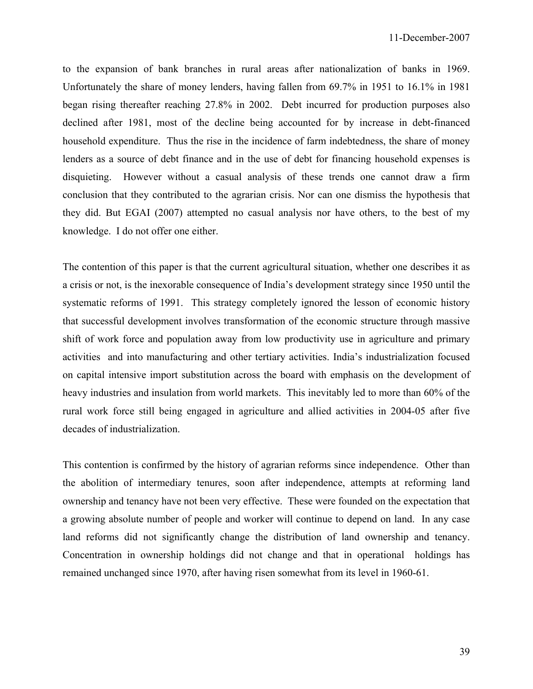to the expansion of bank branches in rural areas after nationalization of banks in 1969. Unfortunately the share of money lenders, having fallen from 69.7% in 1951 to 16.1% in 1981 began rising thereafter reaching 27.8% in 2002. Debt incurred for production purposes also declined after 1981, most of the decline being accounted for by increase in debt-financed household expenditure. Thus the rise in the incidence of farm indebtedness, the share of money lenders as a source of debt finance and in the use of debt for financing household expenses is disquieting. However without a casual analysis of these trends one cannot draw a firm conclusion that they contributed to the agrarian crisis. Nor can one dismiss the hypothesis that they did. But EGAI (2007) attempted no casual analysis nor have others, to the best of my knowledge. I do not offer one either.

The contention of this paper is that the current agricultural situation, whether one describes it as a crisis or not, is the inexorable consequence of India's development strategy since 1950 until the systematic reforms of 1991. This strategy completely ignored the lesson of economic history that successful development involves transformation of the economic structure through massive shift of work force and population away from low productivity use in agriculture and primary activities and into manufacturing and other tertiary activities. India's industrialization focused on capital intensive import substitution across the board with emphasis on the development of heavy industries and insulation from world markets. This inevitably led to more than 60% of the rural work force still being engaged in agriculture and allied activities in 2004-05 after five decades of industrialization.

This contention is confirmed by the history of agrarian reforms since independence. Other than the abolition of intermediary tenures, soon after independence, attempts at reforming land ownership and tenancy have not been very effective. These were founded on the expectation that a growing absolute number of people and worker will continue to depend on land. In any case land reforms did not significantly change the distribution of land ownership and tenancy. Concentration in ownership holdings did not change and that in operational holdings has remained unchanged since 1970, after having risen somewhat from its level in 1960-61.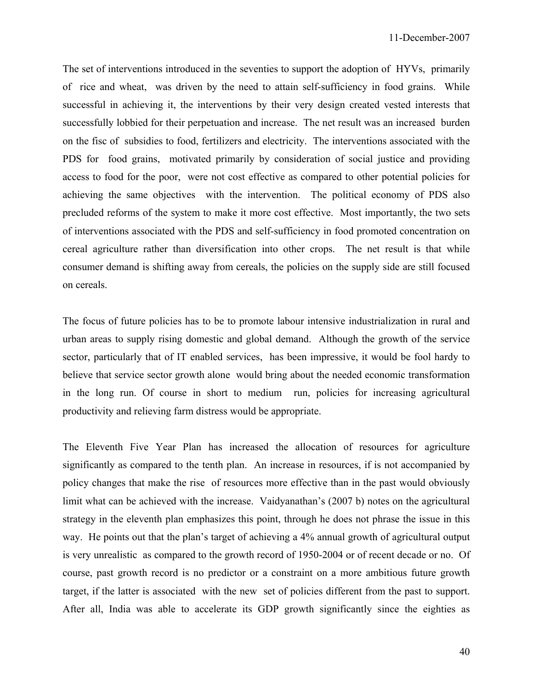The set of interventions introduced in the seventies to support the adoption of HYVs, primarily of rice and wheat, was driven by the need to attain self-sufficiency in food grains. While successful in achieving it, the interventions by their very design created vested interests that successfully lobbied for their perpetuation and increase. The net result was an increased burden on the fisc of subsidies to food, fertilizers and electricity. The interventions associated with the PDS for food grains, motivated primarily by consideration of social justice and providing access to food for the poor, were not cost effective as compared to other potential policies for achieving the same objectives with the intervention. The political economy of PDS also precluded reforms of the system to make it more cost effective. Most importantly, the two sets of interventions associated with the PDS and self-sufficiency in food promoted concentration on cereal agriculture rather than diversification into other crops. The net result is that while consumer demand is shifting away from cereals, the policies on the supply side are still focused on cereals.

The focus of future policies has to be to promote labour intensive industrialization in rural and urban areas to supply rising domestic and global demand. Although the growth of the service sector, particularly that of IT enabled services, has been impressive, it would be fool hardy to believe that service sector growth alone would bring about the needed economic transformation in the long run. Of course in short to medium run, policies for increasing agricultural productivity and relieving farm distress would be appropriate.

The Eleventh Five Year Plan has increased the allocation of resources for agriculture significantly as compared to the tenth plan. An increase in resources, if is not accompanied by policy changes that make the rise of resources more effective than in the past would obviously limit what can be achieved with the increase. Vaidyanathan's (2007 b) notes on the agricultural strategy in the eleventh plan emphasizes this point, through he does not phrase the issue in this way. He points out that the plan's target of achieving a 4% annual growth of agricultural output is very unrealistic as compared to the growth record of 1950-2004 or of recent decade or no. Of course, past growth record is no predictor or a constraint on a more ambitious future growth target, if the latter is associated with the new set of policies different from the past to support. After all, India was able to accelerate its GDP growth significantly since the eighties as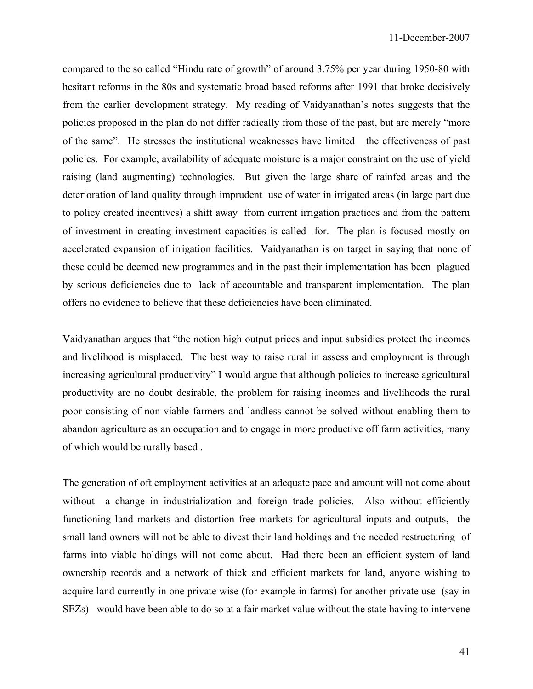compared to the so called "Hindu rate of growth" of around 3.75% per year during 1950-80 with hesitant reforms in the 80s and systematic broad based reforms after 1991 that broke decisively from the earlier development strategy. My reading of Vaidyanathan's notes suggests that the policies proposed in the plan do not differ radically from those of the past, but are merely "more of the same". He stresses the institutional weaknesses have limited the effectiveness of past policies. For example, availability of adequate moisture is a major constraint on the use of yield raising (land augmenting) technologies. But given the large share of rainfed areas and the deterioration of land quality through imprudent use of water in irrigated areas (in large part due to policy created incentives) a shift away from current irrigation practices and from the pattern of investment in creating investment capacities is called for. The plan is focused mostly on accelerated expansion of irrigation facilities. Vaidyanathan is on target in saying that none of these could be deemed new programmes and in the past their implementation has been plagued by serious deficiencies due to lack of accountable and transparent implementation. The plan offers no evidence to believe that these deficiencies have been eliminated.

Vaidyanathan argues that "the notion high output prices and input subsidies protect the incomes and livelihood is misplaced. The best way to raise rural in assess and employment is through increasing agricultural productivity" I would argue that although policies to increase agricultural productivity are no doubt desirable, the problem for raising incomes and livelihoods the rural poor consisting of non-viable farmers and landless cannot be solved without enabling them to abandon agriculture as an occupation and to engage in more productive off farm activities, many of which would be rurally based .

The generation of oft employment activities at an adequate pace and amount will not come about without a change in industrialization and foreign trade policies. Also without efficiently functioning land markets and distortion free markets for agricultural inputs and outputs, the small land owners will not be able to divest their land holdings and the needed restructuring of farms into viable holdings will not come about. Had there been an efficient system of land ownership records and a network of thick and efficient markets for land, anyone wishing to acquire land currently in one private wise (for example in farms) for another private use (say in SEZs) would have been able to do so at a fair market value without the state having to intervene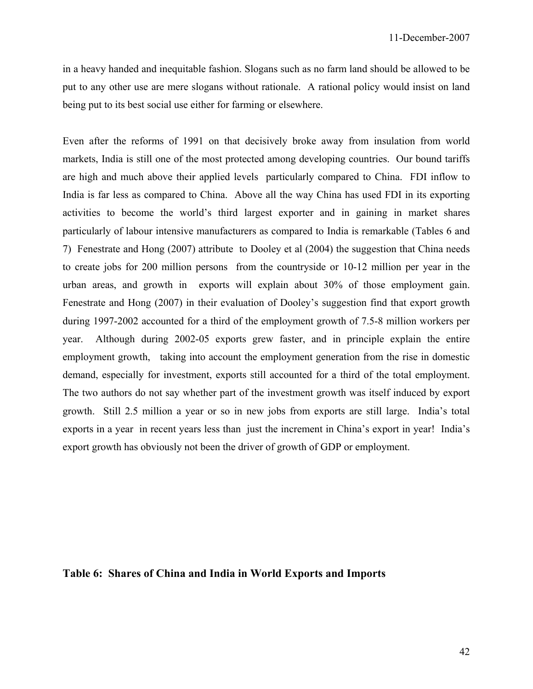in a heavy handed and inequitable fashion. Slogans such as no farm land should be allowed to be put to any other use are mere slogans without rationale. A rational policy would insist on land being put to its best social use either for farming or elsewhere.

Even after the reforms of 1991 on that decisively broke away from insulation from world markets, India is still one of the most protected among developing countries. Our bound tariffs are high and much above their applied levels particularly compared to China. FDI inflow to India is far less as compared to China. Above all the way China has used FDI in its exporting activities to become the world's third largest exporter and in gaining in market shares particularly of labour intensive manufacturers as compared to India is remarkable (Tables 6 and 7) Fenestrate and Hong (2007) attribute to Dooley et al (2004) the suggestion that China needs to create jobs for 200 million persons from the countryside or 10-12 million per year in the urban areas, and growth in exports will explain about 30% of those employment gain. Fenestrate and Hong (2007) in their evaluation of Dooley's suggestion find that export growth during 1997-2002 accounted for a third of the employment growth of 7.5-8 million workers per year. Although during 2002-05 exports grew faster, and in principle explain the entire employment growth, taking into account the employment generation from the rise in domestic demand, especially for investment, exports still accounted for a third of the total employment. The two authors do not say whether part of the investment growth was itself induced by export growth. Still 2.5 million a year or so in new jobs from exports are still large. India's total exports in a year in recent years less than just the increment in China's export in year! India's export growth has obviously not been the driver of growth of GDP or employment.

## **Table 6: Shares of China and India in World Exports and Imports**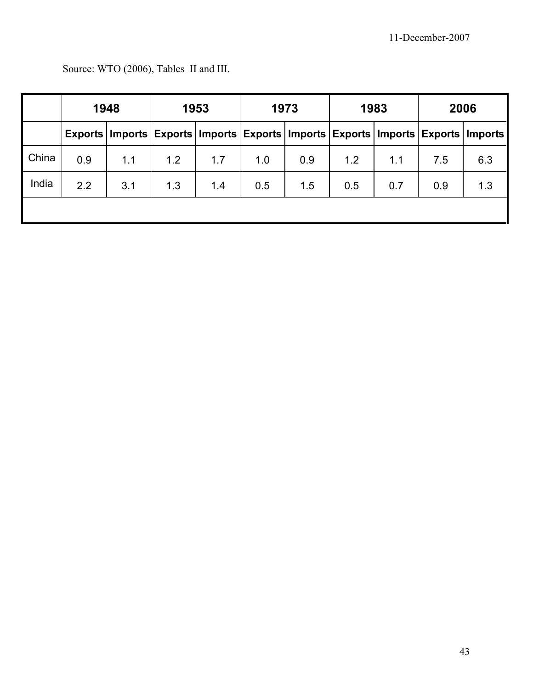|       | 1948 |     | 1953                                                                                              |     | 1973 |     | 1983 |     | 2006 |     |
|-------|------|-----|---------------------------------------------------------------------------------------------------|-----|------|-----|------|-----|------|-----|
|       |      |     | Exports   Imports   Exports   Imports   Exports   Imports   Exports   Imports   Exports   Imports |     |      |     |      |     |      |     |
| China | 0.9  | 1.1 | 1.2                                                                                               | 1.7 | 1.0  | 0.9 | 1.2  | 1.1 | 7.5  | 6.3 |
| India | 2.2  | 3.1 | 1.3                                                                                               | 1.4 | 0.5  | 1.5 | 0.5  | 0.7 | 0.9  | 1.3 |
|       |      |     |                                                                                                   |     |      |     |      |     |      |     |

Source: WTO (2006), Tables II and III.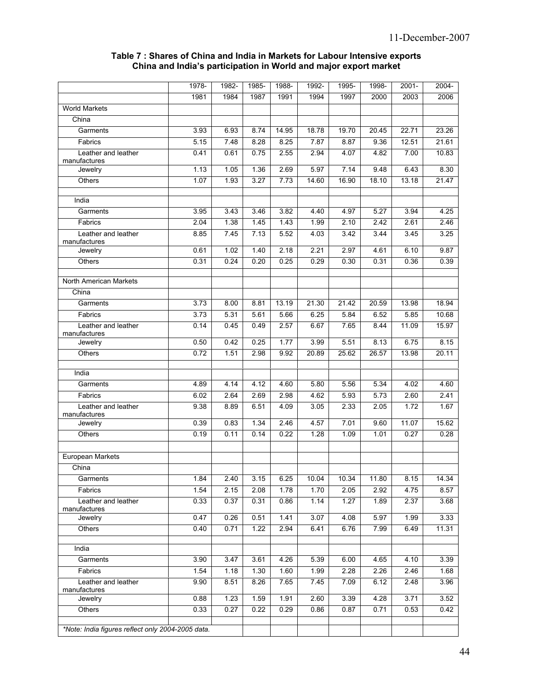#### **Table 7 : Shares of China and India in Markets for Labour Intensive exports China and India's participation in World and major export market**

|                                                   | 1978- | 1982- | 1985- | 1988- | 1992- | 1995- | 1998- | $2001 -$ | $2004 -$ |
|---------------------------------------------------|-------|-------|-------|-------|-------|-------|-------|----------|----------|
|                                                   | 1981  | 1984  | 1987  | 1991  | 1994  | 1997  | 2000  | 2003     | 2006     |
| <b>World Markets</b>                              |       |       |       |       |       |       |       |          |          |
| China                                             |       |       |       |       |       |       |       |          |          |
| Garments                                          | 3.93  | 6.93  | 8.74  | 14.95 | 18.78 | 19.70 | 20.45 | 22.71    | 23.26    |
| Fabrics                                           | 5.15  | 7.48  | 8.28  | 8.25  | 7.87  | 8.87  | 9.36  | 12.51    | 21.61    |
| Leather and leather<br>manufactures               | 0.41  | 0.61  | 0.75  | 2.55  | 2.94  | 4.07  | 4.82  | 7.00     | 10.83    |
| Jewelry                                           | 1.13  | 1.05  | 1.36  | 2.69  | 5.97  | 7.14  | 9.48  | 6.43     | 8.30     |
| Others                                            | 1.07  | 1.93  | 3.27  | 7.73  | 14.60 | 16.90 | 18.10 | 13.18    | 21.47    |
| India                                             |       |       |       |       |       |       |       |          |          |
| Garments                                          | 3.95  | 3.43  | 3.46  | 3.82  | 4.40  | 4.97  | 5.27  | 3.94     | 4.25     |
| Fabrics                                           | 2.04  | 1.38  | 145   | 1.43  | 1.99  | 2.10  | 2.42  | 2.61     | 2.46     |
| Leather and leather<br>manufactures               | 8.85  | 745   | 7.13  | 5.52  | 4.03  | 3.42  | 3.44  | 3.45     | 3.25     |
| Jewelry                                           | 0.61  | 1.02  | 1.40  | 2.18  | 2.21  | 2.97  | 4.61  | 6.10     | 9.87     |
| Others                                            | 0.31  | 0.24  | 0.20  | 0.25  | 0.29  | 0.30  | 0.31  | 0.36     | 0.39     |
| North American Markets                            |       |       |       |       |       |       |       |          |          |
| China                                             |       |       |       |       |       |       |       |          |          |
| Garments                                          | 3.73  | 8.00  | 8.81  | 13.19 | 21.30 | 21.42 | 20.59 | 13.98    | 18.94    |
| Fabrics                                           | 3.73  | 5.31  | 5.61  | 5.66  | 6.25  | 5.84  | 6.52  | 5.85     | 10.68    |
| Leather and leather<br>manufactures               | 0.14  | 0.45  | 0.49  | 2.57  | 6.67  | 7.65  | 8.44  | 11.09    | 15.97    |
| Jewelry                                           | 0.50  | 0.42  | 0.25  | 1.77  | 3.99  | 5.51  | 8.13  | 6.75     | 8.15     |
| Others                                            | 0.72  | 1.51  | 2.98  | 9.92  | 20.89 | 25.62 | 26.57 | 13.98    | 20.11    |
| India                                             |       |       |       |       |       |       |       |          |          |
| Garments                                          | 4.89  | 4.14  | 4.12  | 4.60  | 5.80  | 5.56  | 5.34  | 4.02     | 4.60     |
| Fabrics                                           | 6.02  | 2.64  | 2.69  | 2.98  | 4.62  | 5.93  | 5.73  | 2.60     | 2.41     |
| Leather and leather<br>manufactures               | 9.38  | 8.89  | 6.51  | 4.09  | 3.05  | 2.33  | 2.05  | 1.72     | 1.67     |
| Jewelry                                           | 0.39  | 0.83  | 1.34  | 2.46  | 4.57  | 7.01  | 9.60  | 11.07    | 15.62    |
| Others                                            | 0.19  | 0.11  | 0.14  | 0.22  | 1.28  | 1.09  | 1.01  | 0.27     | 0.28     |
|                                                   |       |       |       |       |       |       |       |          |          |
| European Markets<br>China                         |       |       |       |       |       |       |       |          |          |
| Garments                                          | 1.84  | 2.40  | 3.15  | 6.25  | 10.04 | 10.34 | 11.80 | 8.15     | 14.34    |
| Fabrics                                           | 1.54  | 2.15  | 2.08  | 1.78  | 1.70  | 2.05  | 2.92  | 4.75     | 8.57     |
| Leather and leather                               | 0.33  | 0.37  | 0.31  | 0.86  | 1.14  | 1.27  | 1.89  | 2.37     | 3.68     |
| manufactures<br>Jewelry                           | 0.47  | 0.26  | 0.51  | 1.41  | 3.07  | 4.08  | 5.97  | 1.99     | 3.33     |
| Others                                            | 0.40  | 0.71  | 1.22  | 2.94  | 6.41  | 6.76  | 7.99  | 6.49     | 11.31    |
|                                                   |       |       |       |       |       |       |       |          |          |
| India                                             |       |       |       |       |       |       |       |          |          |
| Garments                                          | 3.90  | 3.47  | 3.61  | 4.26  | 5.39  | 6.00  | 4.65  | 4.10     | 3.39     |
| Fabrics                                           | 1.54  | 1.18  | 1.30  | 1.60  | 1.99  | 2.28  | 2.26  | 2.46     | 1.68     |
| Leather and leather<br>manufactures               | 9.90  | 8.51  | 8.26  | 7.65  | 7.45  | 7.09  | 6.12  | 2.48     | 3.96     |
| Jewelry                                           | 0.88  | 1.23  | 1.59  | 1.91  | 2.60  | 3.39  | 4.28  | 3.71     | 3.52     |
| Others                                            | 0.33  | 0.27  | 0.22  | 0.29  | 0.86  | 0.87  | 0.71  | 0.53     | 0.42     |
| *Note: India figures reflect only 2004-2005 data. |       |       |       |       |       |       |       |          |          |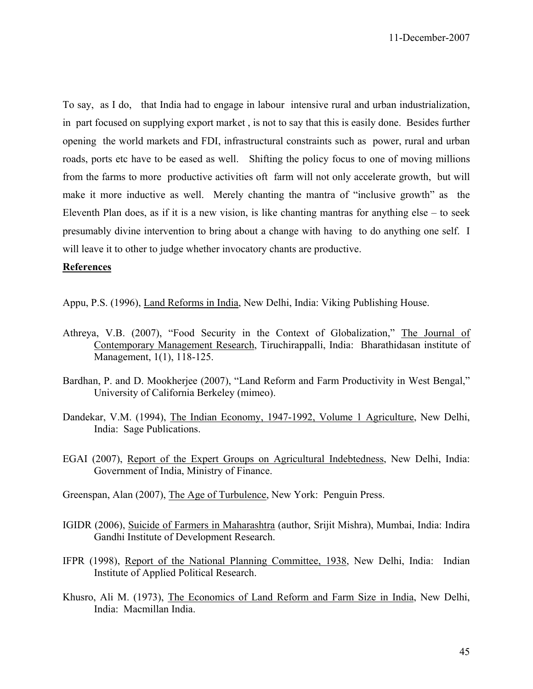To say, as I do, that India had to engage in labour intensive rural and urban industrialization, in part focused on supplying export market , is not to say that this is easily done. Besides further opening the world markets and FDI, infrastructural constraints such as power, rural and urban roads, ports etc have to be eased as well. Shifting the policy focus to one of moving millions from the farms to more productive activities oft farm will not only accelerate growth, but will make it more inductive as well. Merely chanting the mantra of "inclusive growth" as the Eleventh Plan does, as if it is a new vision, is like chanting mantras for anything else – to seek presumably divine intervention to bring about a change with having to do anything one self. I will leave it to other to judge whether invocatory chants are productive.

## **References**

Appu, P.S. (1996), Land Reforms in India, New Delhi, India: Viking Publishing House.

- Athreya, V.B. (2007), "Food Security in the Context of Globalization," The Journal of Contemporary Management Research, Tiruchirappalli, India: Bharathidasan institute of Management, 1(1), 118-125.
- Bardhan, P. and D. Mookherjee (2007), "Land Reform and Farm Productivity in West Bengal," University of California Berkeley (mimeo).
- Dandekar, V.M. (1994), The Indian Economy, 1947-1992, Volume 1 Agriculture, New Delhi, India: Sage Publications.
- EGAI (2007), Report of the Expert Groups on Agricultural Indebtedness, New Delhi, India: Government of India, Ministry of Finance.
- Greenspan, Alan (2007), The Age of Turbulence, New York: Penguin Press.
- IGIDR (2006), Suicide of Farmers in Maharashtra (author, Srijit Mishra), Mumbai, India: Indira Gandhi Institute of Development Research.
- IFPR (1998), Report of the National Planning Committee, 1938, New Delhi, India: Indian Institute of Applied Political Research.
- Khusro, Ali M. (1973), The Economics of Land Reform and Farm Size in India, New Delhi, India: Macmillan India.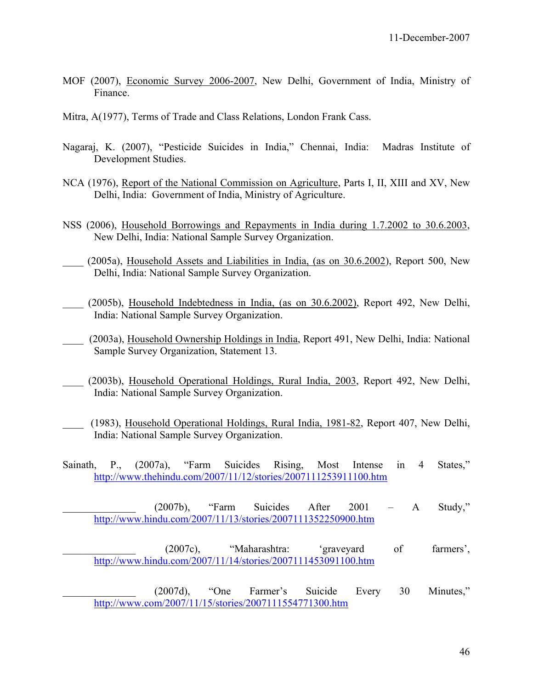- MOF (2007), Economic Survey 2006-2007, New Delhi, Government of India, Ministry of Finance.
- Mitra, A(1977), Terms of Trade and Class Relations, London Frank Cass.
- Nagaraj, K. (2007), "Pesticide Suicides in India," Chennai, India: Madras Institute of Development Studies.
- NCA (1976), Report of the National Commission on Agriculture, Parts I, II, XIII and XV, New Delhi, India: Government of India, Ministry of Agriculture.
- NSS (2006), Household Borrowings and Repayments in India during 1.7.2002 to 30.6.2003, New Delhi, India: National Sample Survey Organization.
- (2005a), Household Assets and Liabilities in India, (as on 30.6.2002), Report 500, New Delhi, India: National Sample Survey Organization.
- (2005b), Household Indebtedness in India, (as on 30.6.2002), Report 492, New Delhi, India: National Sample Survey Organization.
- \_\_\_\_ (2003a), Household Ownership Holdings in India, Report 491, New Delhi, India: National Sample Survey Organization, Statement 13.
- \_\_\_\_ (2003b), Household Operational Holdings, Rural India, 2003, Report 492, New Delhi, India: National Sample Survey Organization.
- \_\_\_\_ (1983), Household Operational Holdings, Rural India, 1981-82, Report 407, New Delhi, India: National Sample Survey Organization.
- Sainath, P., (2007a), "Farm Suicides Rising, Most Intense in 4 States," http://www.thehindu.com/2007/11/12/stories/2007111253911100.htm
- \_\_\_\_\_\_\_\_\_\_\_\_\_\_ (2007b), "Farm Suicides After 2001 A Study," http://www.hindu.com/2007/11/13/stories/2007111352250900.htm

(2007c), "Maharashtra: 'graveyard of farmers', http://www.hindu.com/2007/11/14/stories/2007111453091100.htm

\_\_\_\_\_\_\_\_\_\_\_\_\_\_ (2007d), "One Farmer's Suicide Every 30 Minutes," http://www.com/2007/11/15/stories/2007111554771300.htm